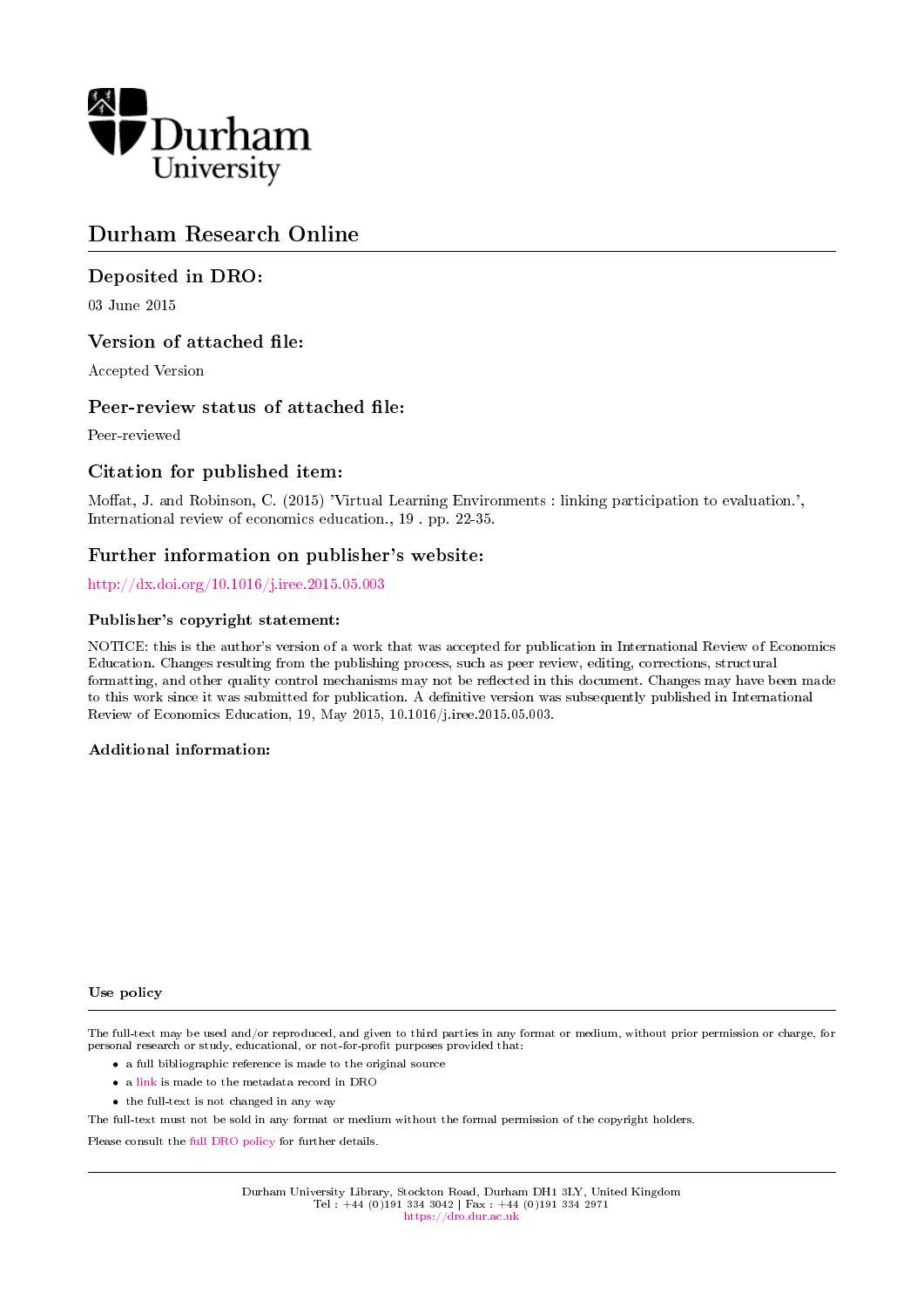

# Durham Research Online

# Deposited in DRO:

03 June 2015

### Version of attached file:

Accepted Version

### Peer-review status of attached file:

Peer-reviewed

# Citation for published item:

Moffat, J. and Robinson, C. (2015) 'Virtual Learning Environments : linking participation to evaluation.', International review of economics education., 19 . pp. 22-35.

# Further information on publisher's website:

<http://dx.doi.org/10.1016/j.iree.2015.05.003>

#### Publisher's copyright statement:

NOTICE: this is the author's version of a work that was accepted for publication in International Review of Economics Education. Changes resulting from the publishing process, such as peer review, editing, corrections, structural formatting, and other quality control mechanisms may not be reflected in this document. Changes may have been made to this work since it was submitted for publication. A denitive version was subsequently published in International Review of Economics Education, 19, May 2015, 10.1016/j.iree.2015.05.003.

#### Additional information:

#### Use policy

The full-text may be used and/or reproduced, and given to third parties in any format or medium, without prior permission or charge, for personal research or study, educational, or not-for-profit purposes provided that:

- a full bibliographic reference is made to the original source
- a [link](http://dro.dur.ac.uk/15624/) is made to the metadata record in DRO
- the full-text is not changed in any way

The full-text must not be sold in any format or medium without the formal permission of the copyright holders.

Please consult the [full DRO policy](https://dro.dur.ac.uk/policies/usepolicy.pdf) for further details.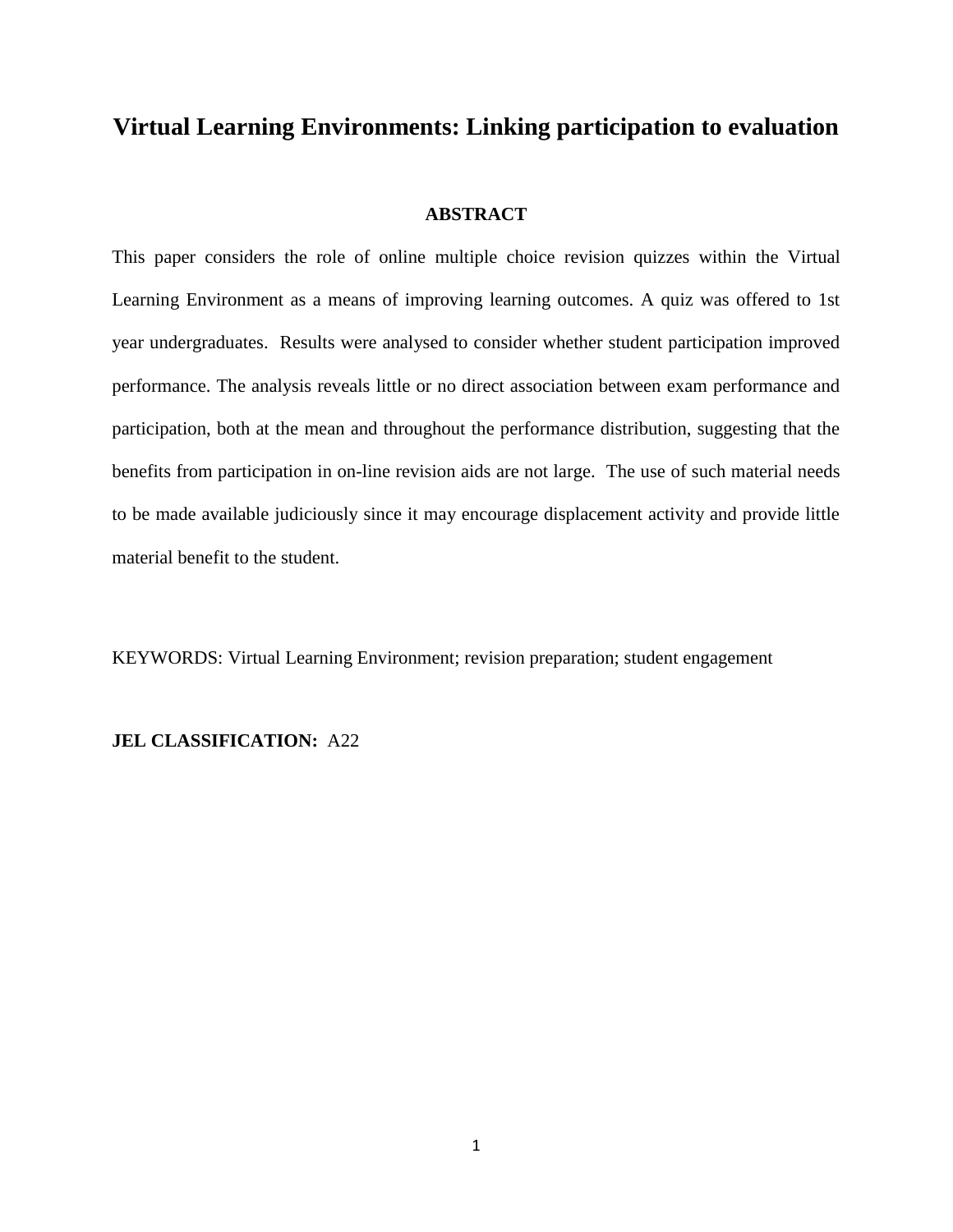# **Virtual Learning Environments: Linking participation to evaluation**

#### **ABSTRACT**

This paper considers the role of online multiple choice revision quizzes within the Virtual Learning Environment as a means of improving learning outcomes. A quiz was offered to 1st year undergraduates. Results were analysed to consider whether student participation improved performance. The analysis reveals little or no direct association between exam performance and participation, both at the mean and throughout the performance distribution, suggesting that the benefits from participation in on-line revision aids are not large. The use of such material needs to be made available judiciously since it may encourage displacement activity and provide little material benefit to the student.

KEYWORDS: Virtual Learning Environment; revision preparation; student engagement

### **JEL CLASSIFICATION:** A22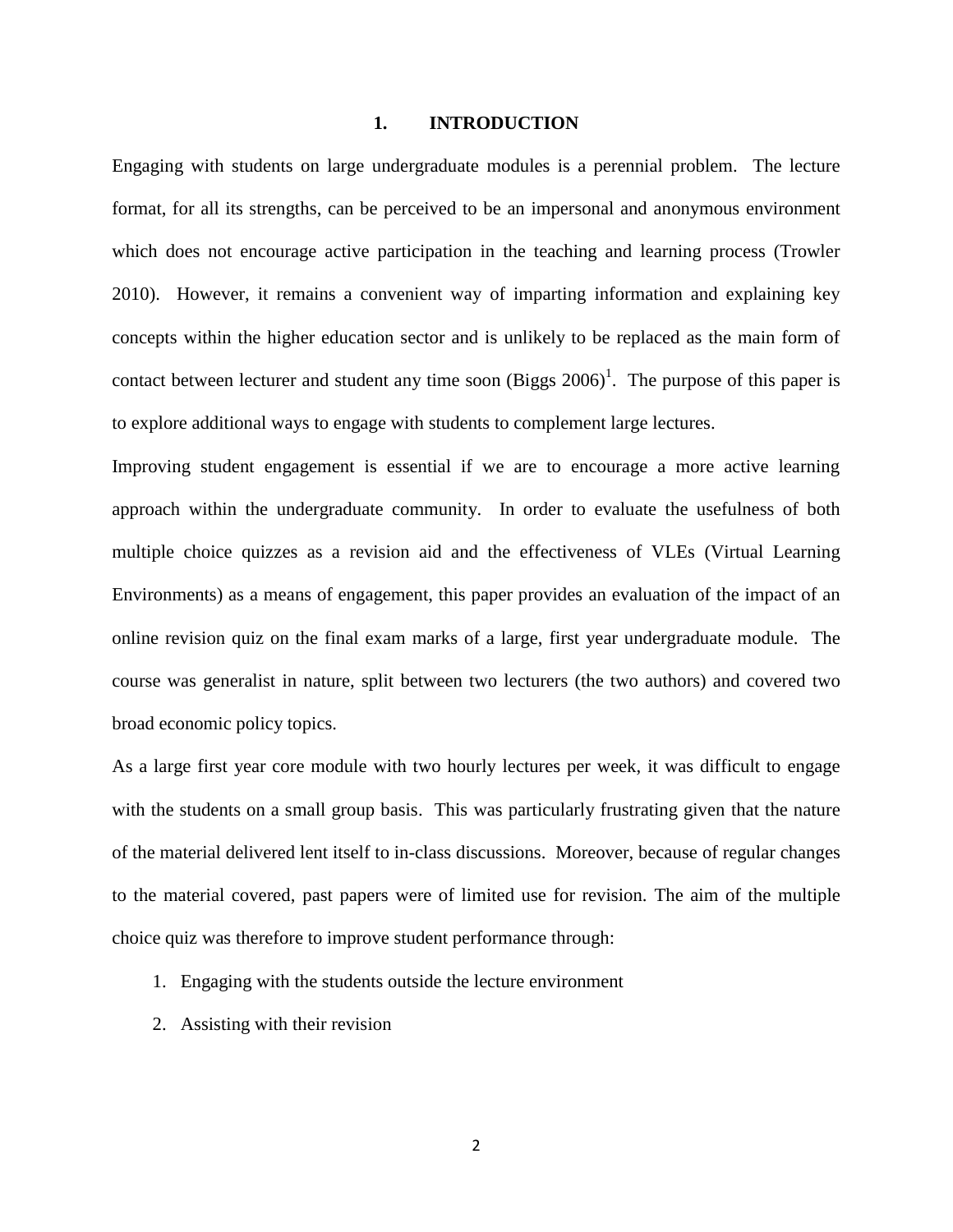#### **1. INTRODUCTION**

Engaging with students on large undergraduate modules is a perennial problem. The lecture format, for all its strengths, can be perceived to be an impersonal and anonymous environment which does not encourage active participation in the teaching and learning process (Trowler 2010). However, it remains a convenient way of imparting information and explaining key concepts within the higher education sector and is unlikely to be replaced as the main form of contact between lecturer and student any time soon  $(Biggs 2006)^{1}$ . The purpose of this paper is to explore additional ways to engage with students to complement large lectures.

Improving student engagement is essential if we are to encourage a more active learning approach within the undergraduate community. In order to evaluate the usefulness of both multiple choice quizzes as a revision aid and the effectiveness of VLEs (Virtual Learning Environments) as a means of engagement, this paper provides an evaluation of the impact of an online revision quiz on the final exam marks of a large, first year undergraduate module. The course was generalist in nature, split between two lecturers (the two authors) and covered two broad economic policy topics.

As a large first year core module with two hourly lectures per week, it was difficult to engage with the students on a small group basis. This was particularly frustrating given that the nature of the material delivered lent itself to in-class discussions. Moreover, because of regular changes to the material covered, past papers were of limited use for revision. The aim of the multiple choice quiz was therefore to improve student performance through:

- 1. Engaging with the students outside the lecture environment
- 2. Assisting with their revision

2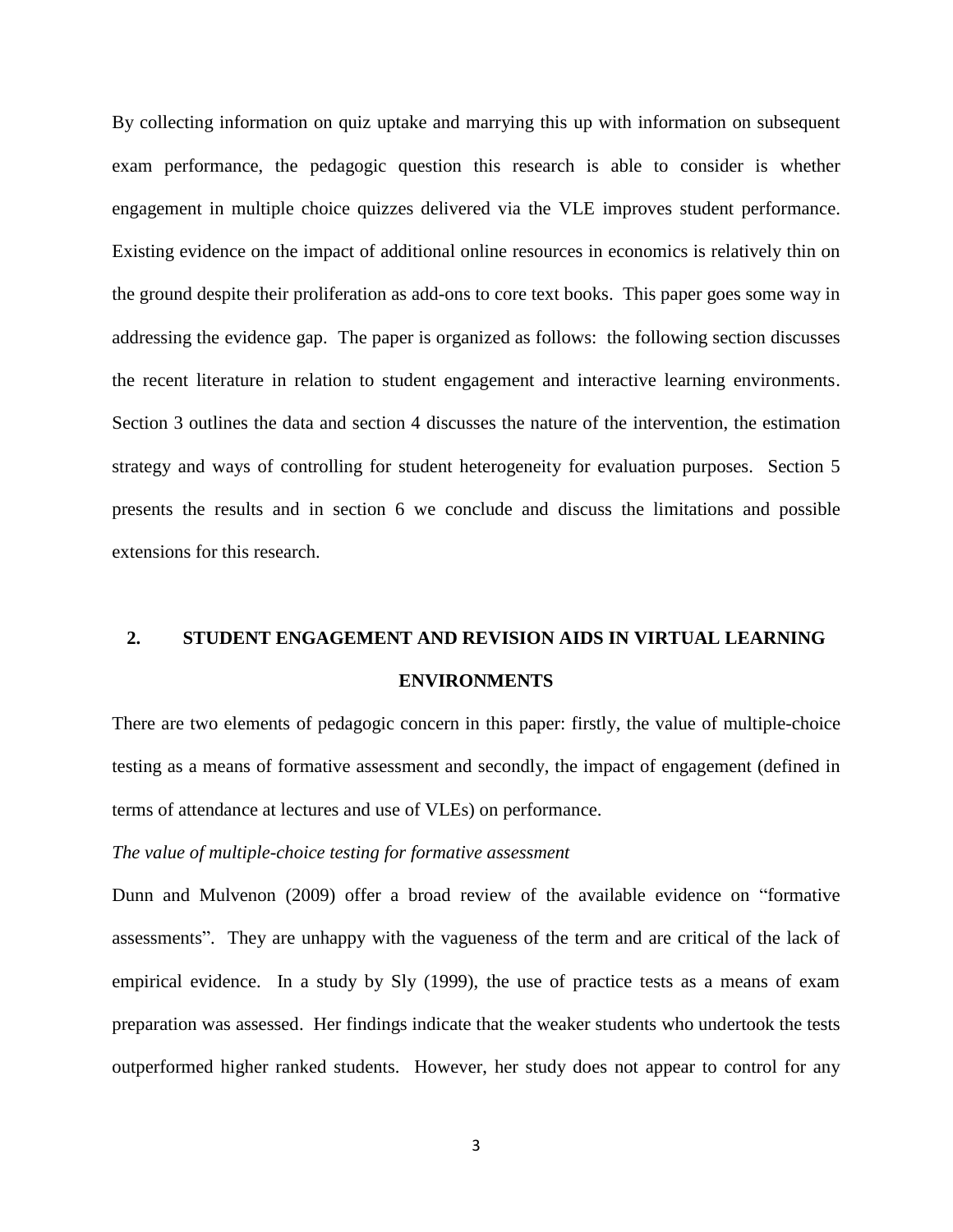By collecting information on quiz uptake and marrying this up with information on subsequent exam performance, the pedagogic question this research is able to consider is whether engagement in multiple choice quizzes delivered via the VLE improves student performance. Existing evidence on the impact of additional online resources in economics is relatively thin on the ground despite their proliferation as add-ons to core text books. This paper goes some way in addressing the evidence gap. The paper is organized as follows: the following section discusses the recent literature in relation to student engagement and interactive learning environments. Section 3 outlines the data and section 4 discusses the nature of the intervention, the estimation strategy and ways of controlling for student heterogeneity for evaluation purposes. Section 5 presents the results and in section 6 we conclude and discuss the limitations and possible extensions for this research.

# **2. STUDENT ENGAGEMENT AND REVISION AIDS IN VIRTUAL LEARNING ENVIRONMENTS**

There are two elements of pedagogic concern in this paper: firstly, the value of multiple-choice testing as a means of formative assessment and secondly, the impact of engagement (defined in terms of attendance at lectures and use of VLEs) on performance.

#### *The value of multiple-choice testing for formative assessment*

Dunn and Mulvenon (2009) offer a broad review of the available evidence on "formative assessments". They are unhappy with the vagueness of the term and are critical of the lack of empirical evidence. In a study by Sly (1999), the use of practice tests as a means of exam preparation was assessed. Her findings indicate that the weaker students who undertook the tests outperformed higher ranked students. However, her study does not appear to control for any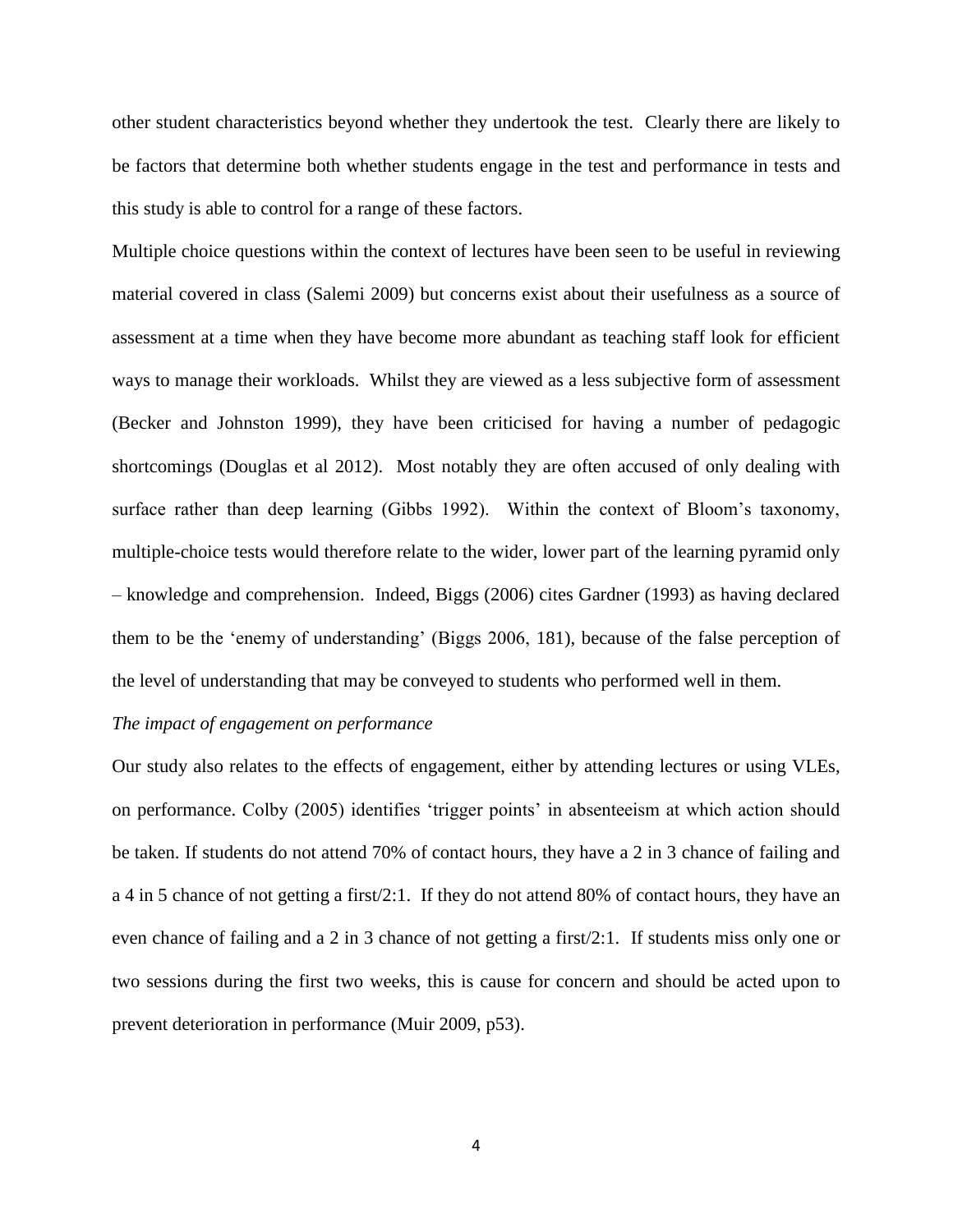other student characteristics beyond whether they undertook the test. Clearly there are likely to be factors that determine both whether students engage in the test and performance in tests and this study is able to control for a range of these factors.

Multiple choice questions within the context of lectures have been seen to be useful in reviewing material covered in class (Salemi 2009) but concerns exist about their usefulness as a source of assessment at a time when they have become more abundant as teaching staff look for efficient ways to manage their workloads. Whilst they are viewed as a less subjective form of assessment (Becker and Johnston 1999), they have been criticised for having a number of pedagogic shortcomings (Douglas et al 2012). Most notably they are often accused of only dealing with surface rather than deep learning (Gibbs 1992). Within the context of Bloom's taxonomy, multiple-choice tests would therefore relate to the wider, lower part of the learning pyramid only – knowledge and comprehension. Indeed, Biggs (2006) cites Gardner (1993) as having declared them to be the 'enemy of understanding' (Biggs 2006, 181), because of the false perception of the level of understanding that may be conveyed to students who performed well in them.

#### *The impact of engagement on performance*

Our study also relates to the effects of engagement, either by attending lectures or using VLEs, on performance. Colby (2005) identifies 'trigger points' in absenteeism at which action should be taken. If students do not attend 70% of contact hours, they have a 2 in 3 chance of failing and a 4 in 5 chance of not getting a first/2:1. If they do not attend 80% of contact hours, they have an even chance of failing and a 2 in 3 chance of not getting a first/2:1. If students miss only one or two sessions during the first two weeks, this is cause for concern and should be acted upon to prevent deterioration in performance (Muir 2009, p53).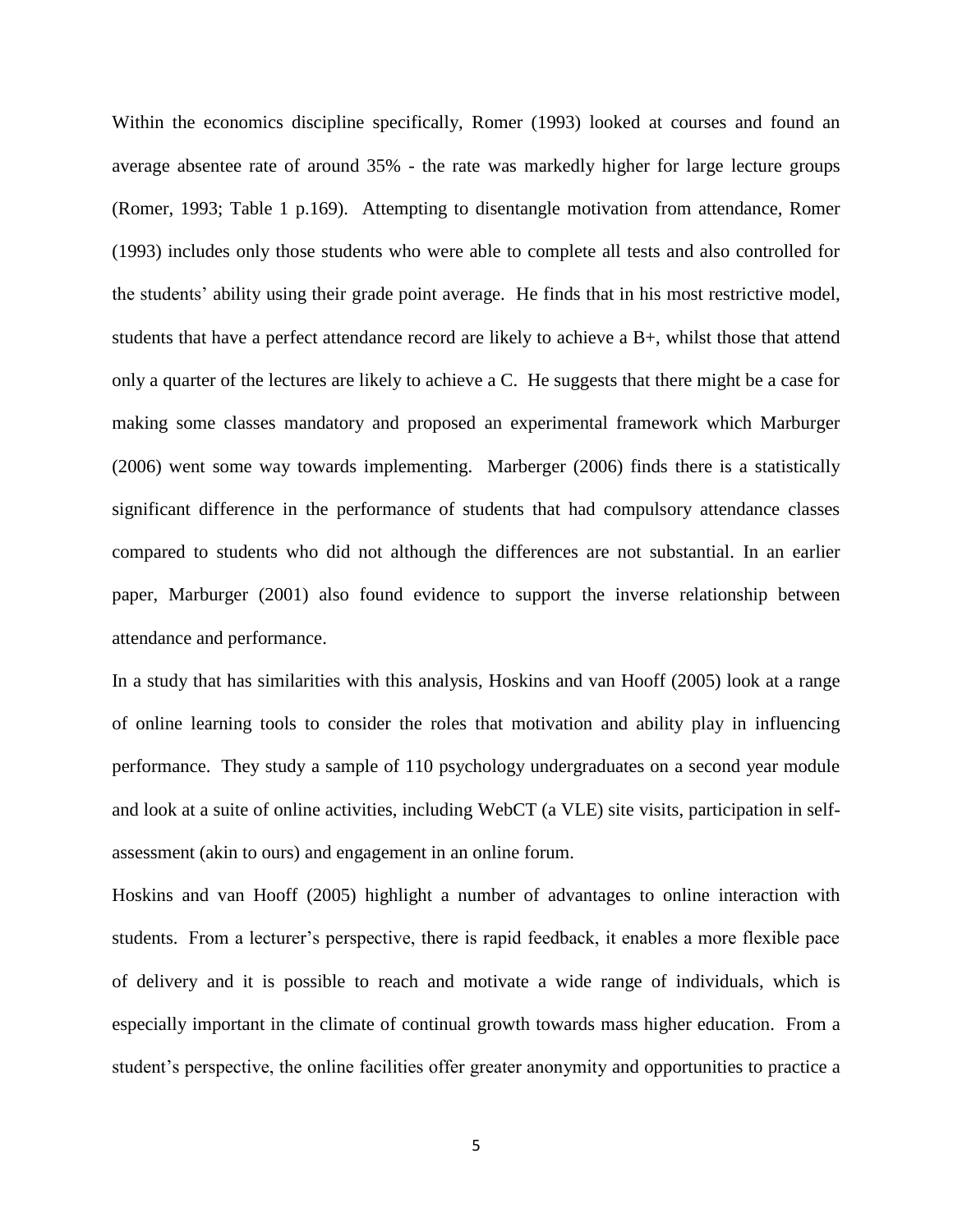Within the economics discipline specifically, Romer (1993) looked at courses and found an average absentee rate of around 35% - the rate was markedly higher for large lecture groups (Romer, 1993; Table 1 p.169). Attempting to disentangle motivation from attendance, Romer (1993) includes only those students who were able to complete all tests and also controlled for the students' ability using their grade point average. He finds that in his most restrictive model, students that have a perfect attendance record are likely to achieve a B+, whilst those that attend only a quarter of the lectures are likely to achieve a C. He suggests that there might be a case for making some classes mandatory and proposed an experimental framework which Marburger (2006) went some way towards implementing. Marberger (2006) finds there is a statistically significant difference in the performance of students that had compulsory attendance classes compared to students who did not although the differences are not substantial. In an earlier paper, Marburger (2001) also found evidence to support the inverse relationship between attendance and performance.

In a study that has similarities with this analysis, Hoskins and van Hooff (2005) look at a range of online learning tools to consider the roles that motivation and ability play in influencing performance. They study a sample of 110 psychology undergraduates on a second year module and look at a suite of online activities, including WebCT (a VLE) site visits, participation in selfassessment (akin to ours) and engagement in an online forum.

Hoskins and van Hooff (2005) highlight a number of advantages to online interaction with students. From a lecturer's perspective, there is rapid feedback, it enables a more flexible pace of delivery and it is possible to reach and motivate a wide range of individuals, which is especially important in the climate of continual growth towards mass higher education. From a student's perspective, the online facilities offer greater anonymity and opportunities to practice a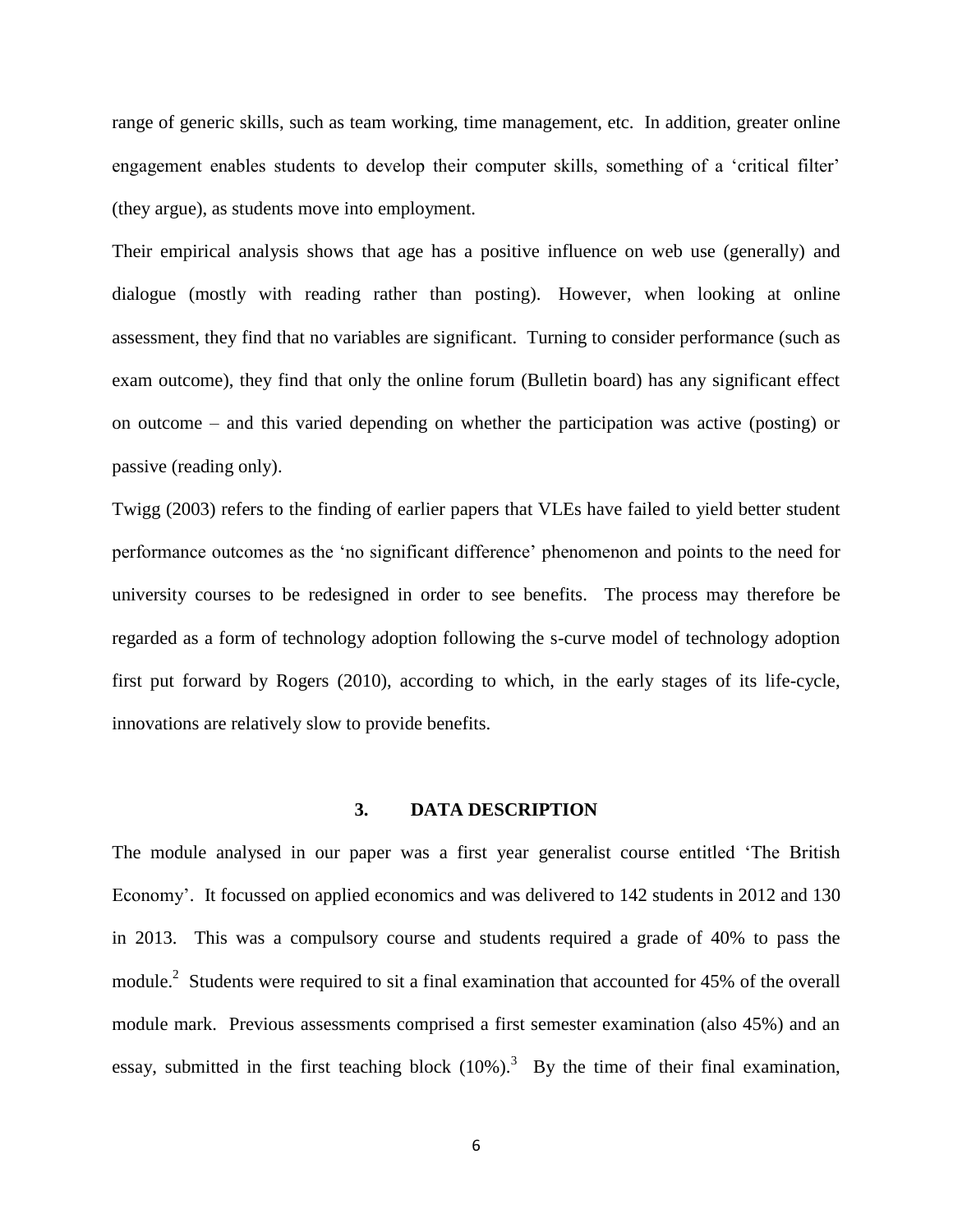range of generic skills, such as team working, time management, etc. In addition, greater online engagement enables students to develop their computer skills, something of a 'critical filter' (they argue), as students move into employment.

Their empirical analysis shows that age has a positive influence on web use (generally) and dialogue (mostly with reading rather than posting). However, when looking at online assessment, they find that no variables are significant. Turning to consider performance (such as exam outcome), they find that only the online forum (Bulletin board) has any significant effect on outcome – and this varied depending on whether the participation was active (posting) or passive (reading only).

Twigg (2003) refers to the finding of earlier papers that VLEs have failed to yield better student performance outcomes as the 'no significant difference' phenomenon and points to the need for university courses to be redesigned in order to see benefits. The process may therefore be regarded as a form of technology adoption following the s-curve model of technology adoption first put forward by Rogers (2010), according to which, in the early stages of its life-cycle, innovations are relatively slow to provide benefits.

#### **3. DATA DESCRIPTION**

The module analysed in our paper was a first year generalist course entitled 'The British Economy'. It focussed on applied economics and was delivered to 142 students in 2012 and 130 in 2013. This was a compulsory course and students required a grade of 40% to pass the module.<sup>2</sup> Students were required to sit a final examination that accounted for 45% of the overall module mark. Previous assessments comprised a first semester examination (also 45%) and an essay, submitted in the first teaching block  $(10\%)$ .<sup>3</sup> By the time of their final examination,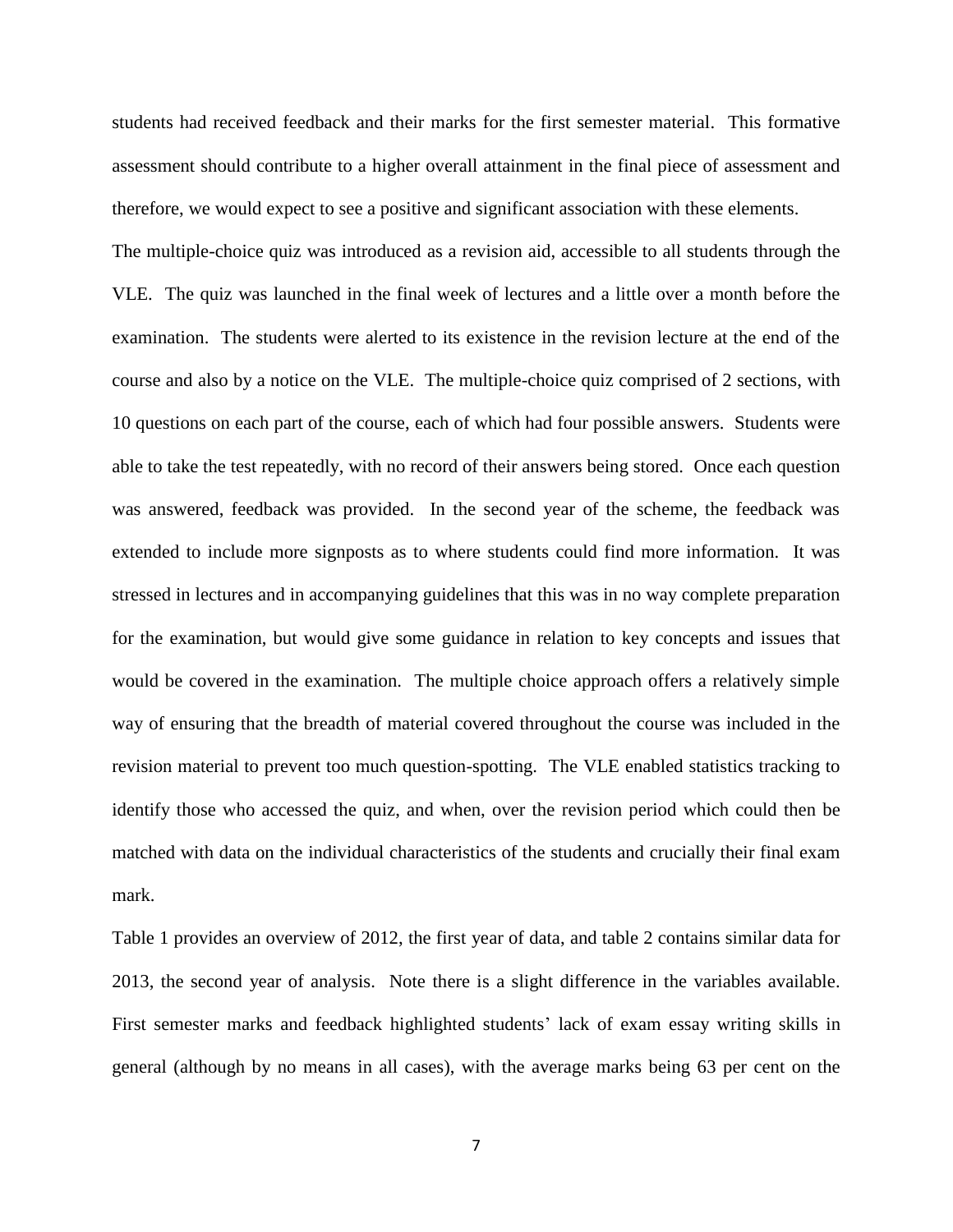students had received feedback and their marks for the first semester material. This formative assessment should contribute to a higher overall attainment in the final piece of assessment and therefore, we would expect to see a positive and significant association with these elements.

The multiple-choice quiz was introduced as a revision aid, accessible to all students through the VLE. The quiz was launched in the final week of lectures and a little over a month before the examination. The students were alerted to its existence in the revision lecture at the end of the course and also by a notice on the VLE. The multiple-choice quiz comprised of 2 sections, with 10 questions on each part of the course, each of which had four possible answers. Students were able to take the test repeatedly, with no record of their answers being stored. Once each question was answered, feedback was provided. In the second year of the scheme, the feedback was extended to include more signposts as to where students could find more information. It was stressed in lectures and in accompanying guidelines that this was in no way complete preparation for the examination, but would give some guidance in relation to key concepts and issues that would be covered in the examination. The multiple choice approach offers a relatively simple way of ensuring that the breadth of material covered throughout the course was included in the revision material to prevent too much question-spotting. The VLE enabled statistics tracking to identify those who accessed the quiz, and when, over the revision period which could then be matched with data on the individual characteristics of the students and crucially their final exam mark.

Table 1 provides an overview of 2012, the first year of data, and table 2 contains similar data for 2013, the second year of analysis. Note there is a slight difference in the variables available. First semester marks and feedback highlighted students' lack of exam essay writing skills in general (although by no means in all cases), with the average marks being 63 per cent on the

7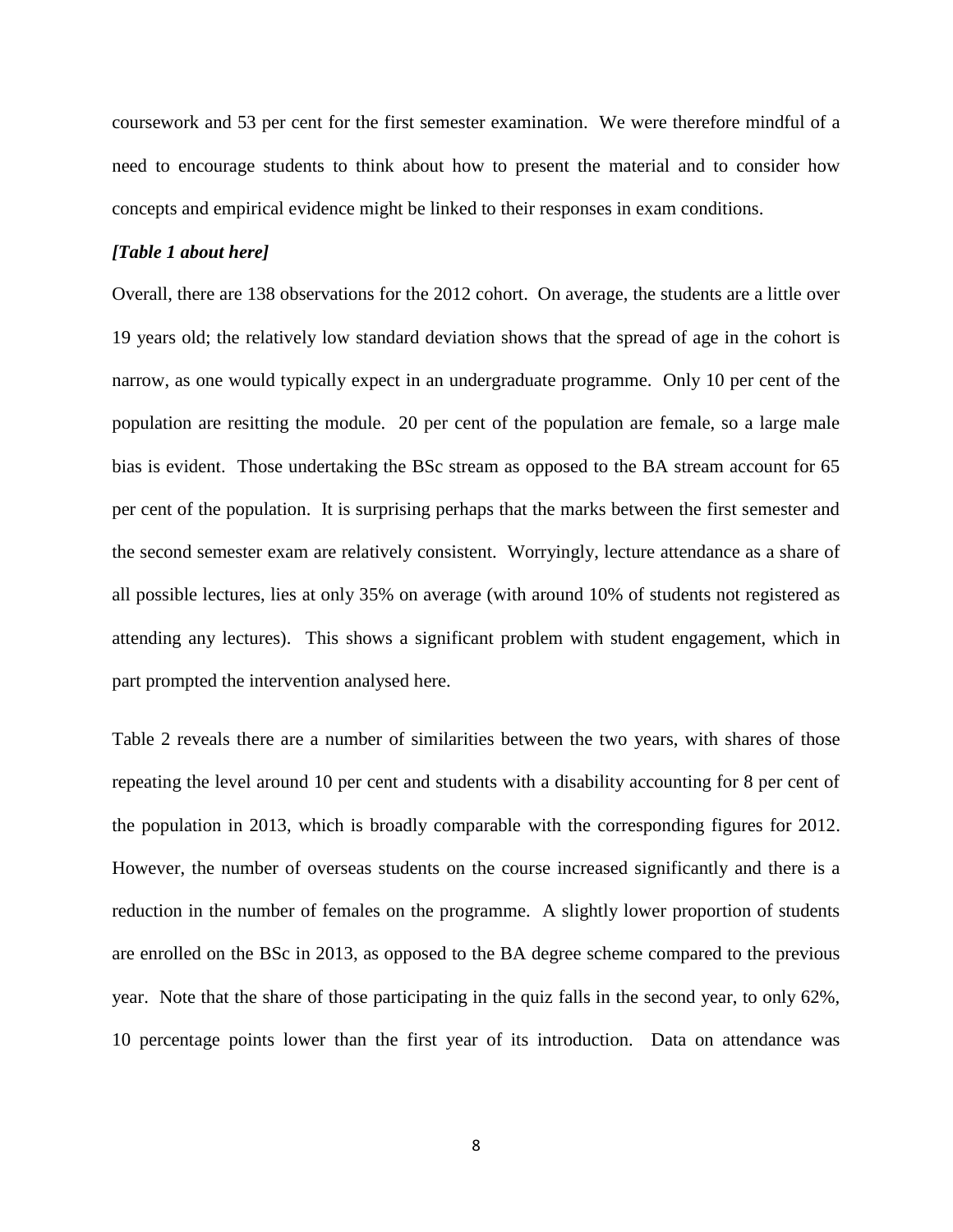coursework and 53 per cent for the first semester examination. We were therefore mindful of a need to encourage students to think about how to present the material and to consider how concepts and empirical evidence might be linked to their responses in exam conditions.

#### *[Table 1 about here]*

Overall, there are 138 observations for the 2012 cohort. On average, the students are a little over 19 years old; the relatively low standard deviation shows that the spread of age in the cohort is narrow, as one would typically expect in an undergraduate programme. Only 10 per cent of the population are resitting the module. 20 per cent of the population are female, so a large male bias is evident. Those undertaking the BSc stream as opposed to the BA stream account for 65 per cent of the population. It is surprising perhaps that the marks between the first semester and the second semester exam are relatively consistent. Worryingly, lecture attendance as a share of all possible lectures, lies at only 35% on average (with around 10% of students not registered as attending any lectures). This shows a significant problem with student engagement, which in part prompted the intervention analysed here.

Table 2 reveals there are a number of similarities between the two years, with shares of those repeating the level around 10 per cent and students with a disability accounting for 8 per cent of the population in 2013, which is broadly comparable with the corresponding figures for 2012. However, the number of overseas students on the course increased significantly and there is a reduction in the number of females on the programme. A slightly lower proportion of students are enrolled on the BSc in 2013, as opposed to the BA degree scheme compared to the previous year. Note that the share of those participating in the quiz falls in the second year, to only 62%, 10 percentage points lower than the first year of its introduction. Data on attendance was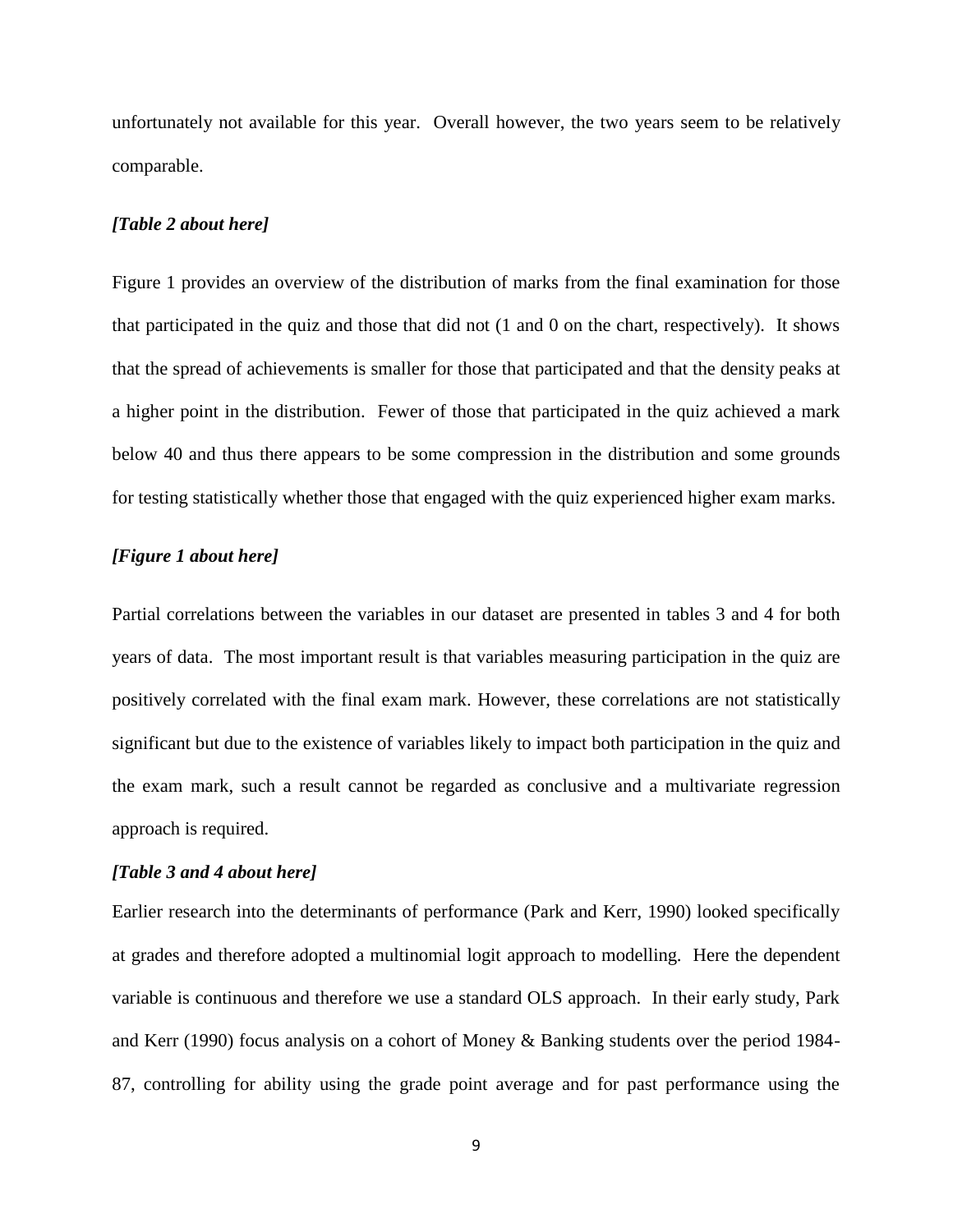unfortunately not available for this year. Overall however, the two years seem to be relatively comparable.

#### *[Table 2 about here]*

Figure 1 provides an overview of the distribution of marks from the final examination for those that participated in the quiz and those that did not (1 and 0 on the chart, respectively). It shows that the spread of achievements is smaller for those that participated and that the density peaks at a higher point in the distribution. Fewer of those that participated in the quiz achieved a mark below 40 and thus there appears to be some compression in the distribution and some grounds for testing statistically whether those that engaged with the quiz experienced higher exam marks.

#### *[Figure 1 about here]*

Partial correlations between the variables in our dataset are presented in tables 3 and 4 for both years of data. The most important result is that variables measuring participation in the quiz are positively correlated with the final exam mark. However, these correlations are not statistically significant but due to the existence of variables likely to impact both participation in the quiz and the exam mark, such a result cannot be regarded as conclusive and a multivariate regression approach is required.

#### *[Table 3 and 4 about here]*

Earlier research into the determinants of performance (Park and Kerr, 1990) looked specifically at grades and therefore adopted a multinomial logit approach to modelling. Here the dependent variable is continuous and therefore we use a standard OLS approach. In their early study, Park and Kerr (1990) focus analysis on a cohort of Money & Banking students over the period 1984- 87, controlling for ability using the grade point average and for past performance using the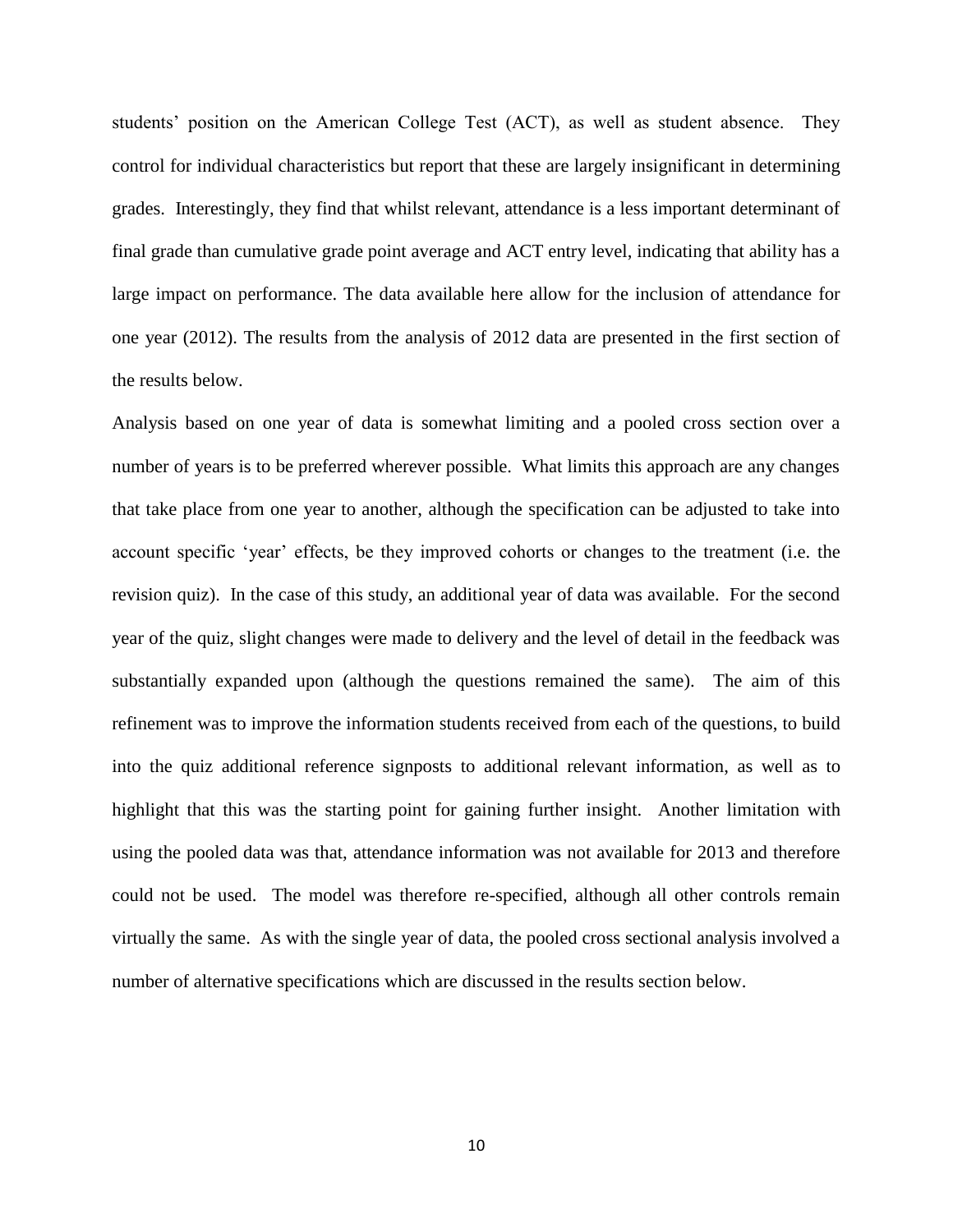students' position on the American College Test (ACT), as well as student absence. They control for individual characteristics but report that these are largely insignificant in determining grades. Interestingly, they find that whilst relevant, attendance is a less important determinant of final grade than cumulative grade point average and ACT entry level, indicating that ability has a large impact on performance. The data available here allow for the inclusion of attendance for one year (2012). The results from the analysis of 2012 data are presented in the first section of the results below.

Analysis based on one year of data is somewhat limiting and a pooled cross section over a number of years is to be preferred wherever possible. What limits this approach are any changes that take place from one year to another, although the specification can be adjusted to take into account specific 'year' effects, be they improved cohorts or changes to the treatment (i.e. the revision quiz). In the case of this study, an additional year of data was available. For the second year of the quiz, slight changes were made to delivery and the level of detail in the feedback was substantially expanded upon (although the questions remained the same). The aim of this refinement was to improve the information students received from each of the questions, to build into the quiz additional reference signposts to additional relevant information, as well as to highlight that this was the starting point for gaining further insight. Another limitation with using the pooled data was that, attendance information was not available for 2013 and therefore could not be used. The model was therefore re-specified, although all other controls remain virtually the same. As with the single year of data, the pooled cross sectional analysis involved a number of alternative specifications which are discussed in the results section below.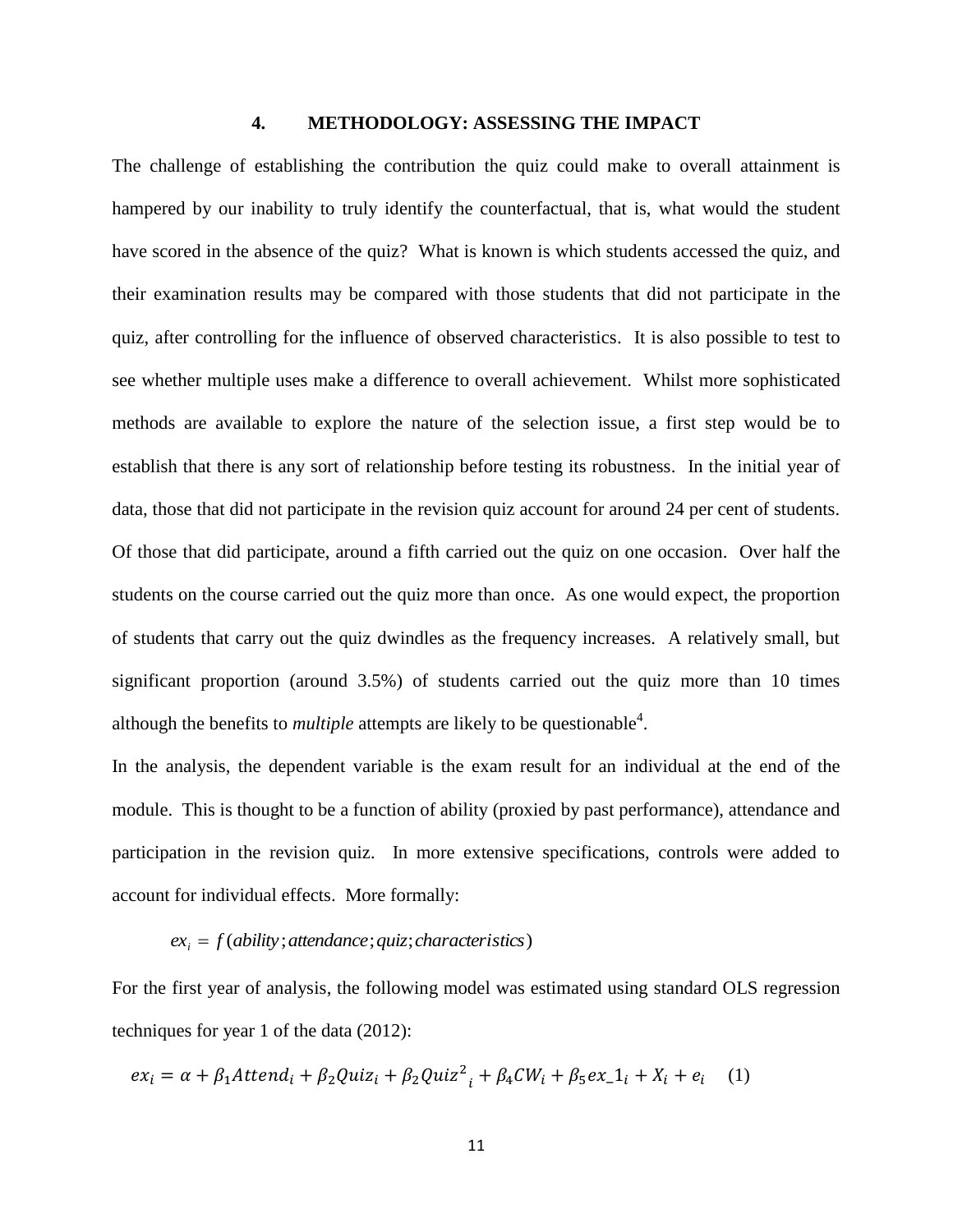#### **4. METHODOLOGY: ASSESSING THE IMPACT**

The challenge of establishing the contribution the quiz could make to overall attainment is hampered by our inability to truly identify the counterfactual, that is, what would the student have scored in the absence of the quiz? What is known is which students accessed the quiz, and their examination results may be compared with those students that did not participate in the quiz, after controlling for the influence of observed characteristics. It is also possible to test to see whether multiple uses make a difference to overall achievement. Whilst more sophisticated methods are available to explore the nature of the selection issue, a first step would be to establish that there is any sort of relationship before testing its robustness. In the initial year of data, those that did not participate in the revision quiz account for around 24 per cent of students. Of those that did participate, around a fifth carried out the quiz on one occasion. Over half the students on the course carried out the quiz more than once. As one would expect, the proportion of students that carry out the quiz dwindles as the frequency increases. A relatively small, but significant proportion (around 3.5%) of students carried out the quiz more than 10 times although the benefits to *multiple* attempts are likely to be questionable<sup>4</sup>.

In the analysis, the dependent variable is the exam result for an individual at the end of the module. This is thought to be a function of ability (proxied by past performance), attendance and participation in the revision quiz. In more extensive specifications, controls were added to account for individual effects. More formally:

# $ex_i = f(ability;$ *attendance*; *quiz*; *characteristics*)

For the first year of analysis, the following model was estimated using standard OLS regression techniques for year 1 of the data (2012):

$$
ex_i = \alpha + \beta_1 Attend_i + \beta_2 Quiz_i + \beta_2 Quiz_i^2 + \beta_4 CW_i + \beta_5 ex_i1 + X_i + e_i \quad (1)
$$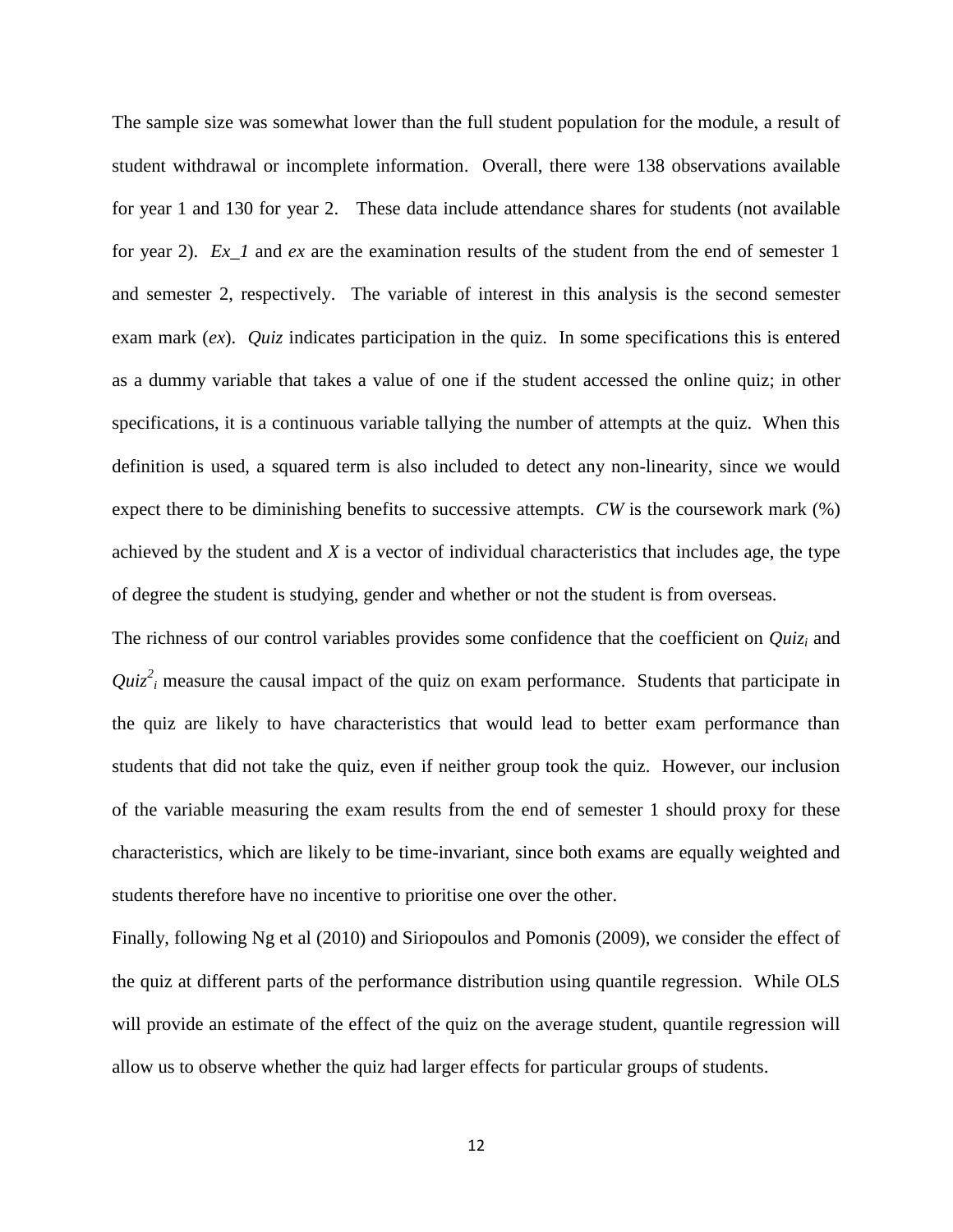The sample size was somewhat lower than the full student population for the module, a result of student withdrawal or incomplete information. Overall, there were 138 observations available for year 1 and 130 for year 2. These data include attendance shares for students (not available for year 2). *Ex\_1* and *ex* are the examination results of the student from the end of semester 1 and semester 2, respectively. The variable of interest in this analysis is the second semester exam mark (*ex*). *Quiz* indicates participation in the quiz. In some specifications this is entered as a dummy variable that takes a value of one if the student accessed the online quiz; in other specifications, it is a continuous variable tallying the number of attempts at the quiz. When this definition is used, a squared term is also included to detect any non-linearity, since we would expect there to be diminishing benefits to successive attempts. *CW* is the coursework mark (%) achieved by the student and *X* is a vector of individual characteristics that includes age, the type of degree the student is studying, gender and whether or not the student is from overseas.

The richness of our control variables provides some confidence that the coefficient on *Quiz<sup>i</sup>* and  $Quiz<sup>2</sup>$  measure the causal impact of the quiz on exam performance. Students that participate in the quiz are likely to have characteristics that would lead to better exam performance than students that did not take the quiz, even if neither group took the quiz. However, our inclusion of the variable measuring the exam results from the end of semester 1 should proxy for these characteristics, which are likely to be time-invariant, since both exams are equally weighted and students therefore have no incentive to prioritise one over the other.

Finally, following Ng et al (2010) and Siriopoulos and Pomonis (2009), we consider the effect of the quiz at different parts of the performance distribution using quantile regression. While OLS will provide an estimate of the effect of the quiz on the average student, quantile regression will allow us to observe whether the quiz had larger effects for particular groups of students.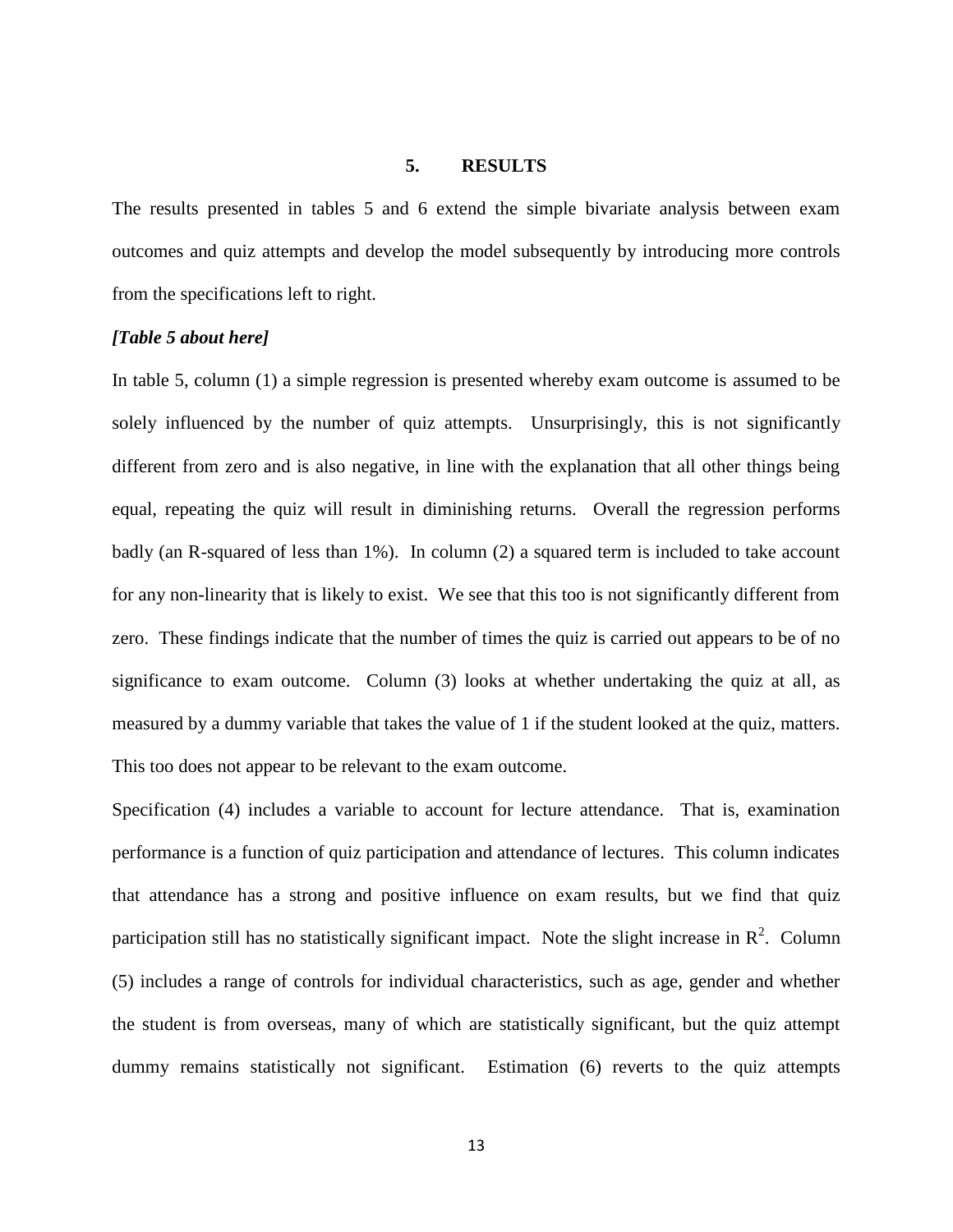#### **5. RESULTS**

The results presented in tables 5 and 6 extend the simple bivariate analysis between exam outcomes and quiz attempts and develop the model subsequently by introducing more controls from the specifications left to right.

#### *[Table 5 about here]*

In table 5, column (1) a simple regression is presented whereby exam outcome is assumed to be solely influenced by the number of quiz attempts. Unsurprisingly, this is not significantly different from zero and is also negative, in line with the explanation that all other things being equal, repeating the quiz will result in diminishing returns. Overall the regression performs badly (an R-squared of less than 1%). In column (2) a squared term is included to take account for any non-linearity that is likely to exist. We see that this too is not significantly different from zero. These findings indicate that the number of times the quiz is carried out appears to be of no significance to exam outcome. Column (3) looks at whether undertaking the quiz at all, as measured by a dummy variable that takes the value of 1 if the student looked at the quiz, matters. This too does not appear to be relevant to the exam outcome.

Specification (4) includes a variable to account for lecture attendance. That is, examination performance is a function of quiz participation and attendance of lectures. This column indicates that attendance has a strong and positive influence on exam results, but we find that quiz participation still has no statistically significant impact. Note the slight increase in  $\mathbb{R}^2$ . Column (5) includes a range of controls for individual characteristics, such as age, gender and whether the student is from overseas, many of which are statistically significant, but the quiz attempt dummy remains statistically not significant. Estimation (6) reverts to the quiz attempts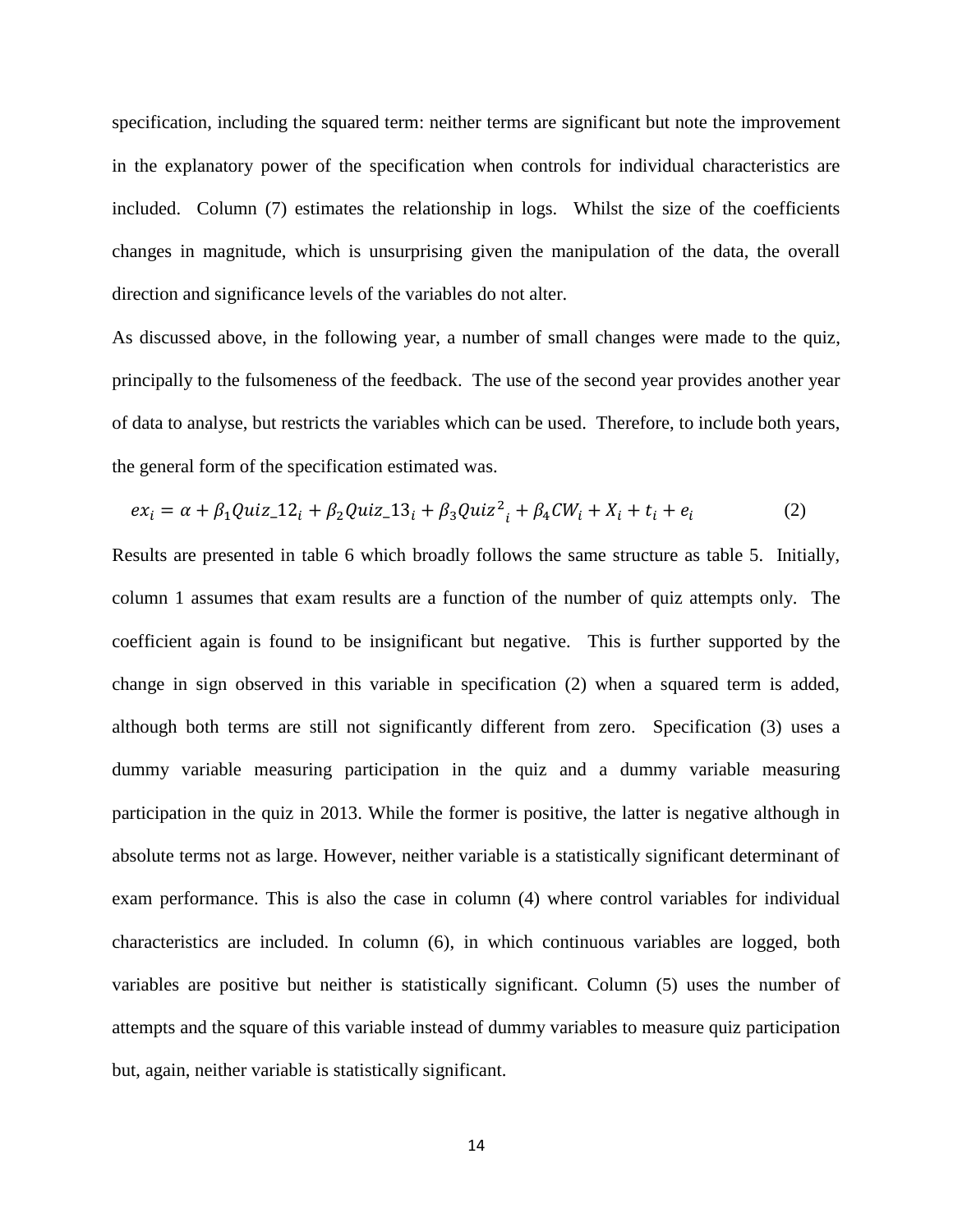specification, including the squared term: neither terms are significant but note the improvement in the explanatory power of the specification when controls for individual characteristics are included. Column (7) estimates the relationship in logs. Whilst the size of the coefficients changes in magnitude, which is unsurprising given the manipulation of the data, the overall direction and significance levels of the variables do not alter.

As discussed above, in the following year, a number of small changes were made to the quiz, principally to the fulsomeness of the feedback. The use of the second year provides another year of data to analyse, but restricts the variables which can be used. Therefore, to include both years, the general form of the specification estimated was.

$$
ex_i = \alpha + \beta_1 Quiz \_12_i + \beta_2 Quiz \_13_i + \beta_3 Quiz^2_i + \beta_4 CW_i + X_i + t_i + e_i
$$
 (2)

Results are presented in table 6 which broadly follows the same structure as table 5. Initially, column 1 assumes that exam results are a function of the number of quiz attempts only. The coefficient again is found to be insignificant but negative. This is further supported by the change in sign observed in this variable in specification (2) when a squared term is added, although both terms are still not significantly different from zero. Specification (3) uses a dummy variable measuring participation in the quiz and a dummy variable measuring participation in the quiz in 2013. While the former is positive, the latter is negative although in absolute terms not as large. However, neither variable is a statistically significant determinant of exam performance. This is also the case in column (4) where control variables for individual characteristics are included. In column (6), in which continuous variables are logged, both variables are positive but neither is statistically significant. Column (5) uses the number of attempts and the square of this variable instead of dummy variables to measure quiz participation but, again, neither variable is statistically significant.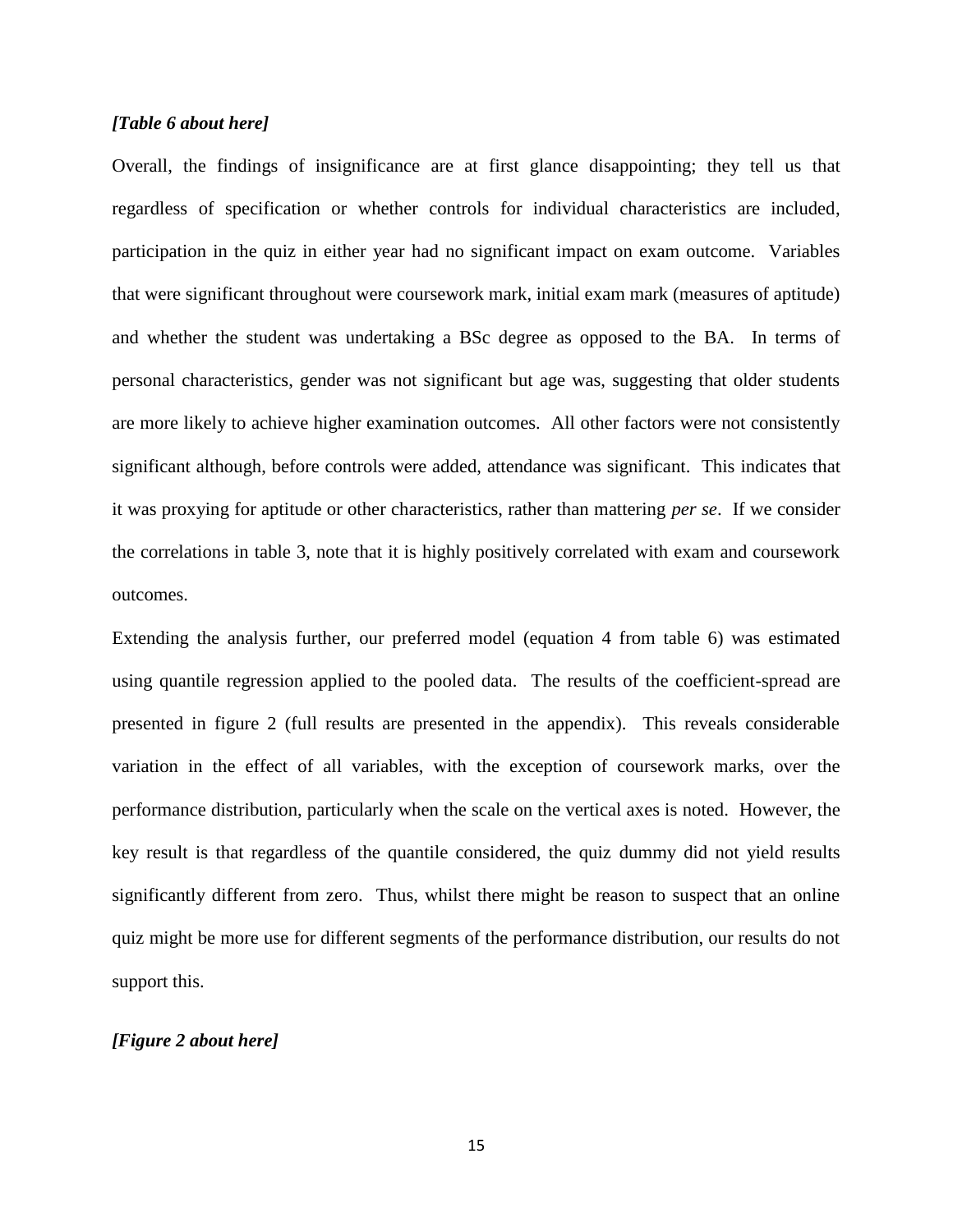#### *[Table 6 about here]*

Overall, the findings of insignificance are at first glance disappointing; they tell us that regardless of specification or whether controls for individual characteristics are included, participation in the quiz in either year had no significant impact on exam outcome. Variables that were significant throughout were coursework mark, initial exam mark (measures of aptitude) and whether the student was undertaking a BSc degree as opposed to the BA. In terms of personal characteristics, gender was not significant but age was, suggesting that older students are more likely to achieve higher examination outcomes. All other factors were not consistently significant although, before controls were added, attendance was significant. This indicates that it was proxying for aptitude or other characteristics, rather than mattering *per se*. If we consider the correlations in table 3, note that it is highly positively correlated with exam and coursework outcomes.

Extending the analysis further, our preferred model (equation 4 from table 6) was estimated using quantile regression applied to the pooled data. The results of the coefficient-spread are presented in figure 2 (full results are presented in the appendix). This reveals considerable variation in the effect of all variables, with the exception of coursework marks, over the performance distribution, particularly when the scale on the vertical axes is noted. However, the key result is that regardless of the quantile considered, the quiz dummy did not yield results significantly different from zero. Thus, whilst there might be reason to suspect that an online quiz might be more use for different segments of the performance distribution, our results do not support this.

#### *[Figure 2 about here]*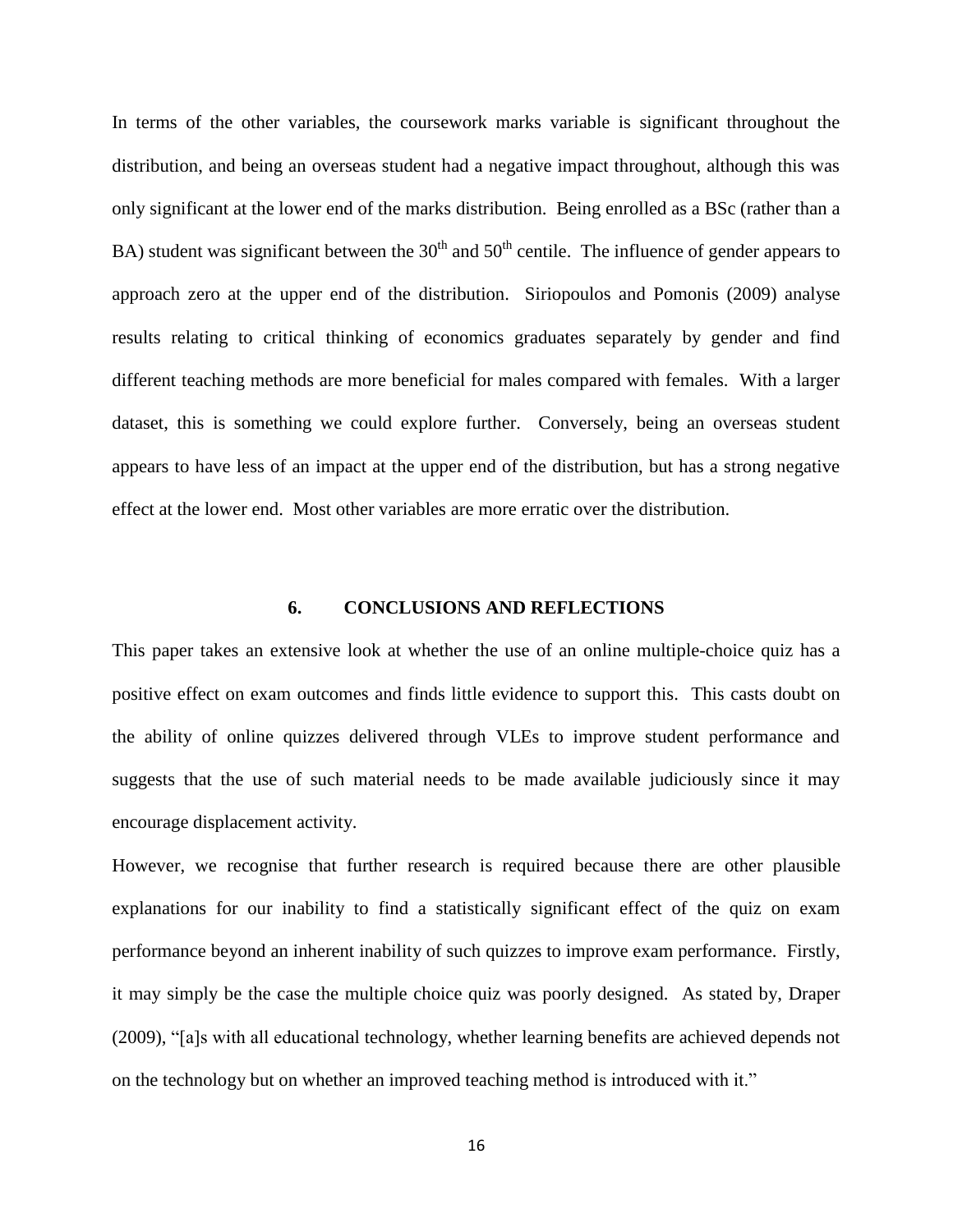In terms of the other variables, the coursework marks variable is significant throughout the distribution, and being an overseas student had a negative impact throughout, although this was only significant at the lower end of the marks distribution. Being enrolled as a BSc (rather than a BA) student was significant between the  $30<sup>th</sup>$  and  $50<sup>th</sup>$  centile. The influence of gender appears to approach zero at the upper end of the distribution. Siriopoulos and Pomonis (2009) analyse results relating to critical thinking of economics graduates separately by gender and find different teaching methods are more beneficial for males compared with females. With a larger dataset, this is something we could explore further. Conversely, being an overseas student appears to have less of an impact at the upper end of the distribution, but has a strong negative effect at the lower end. Most other variables are more erratic over the distribution.

#### **6. CONCLUSIONS AND REFLECTIONS**

This paper takes an extensive look at whether the use of an online multiple-choice quiz has a positive effect on exam outcomes and finds little evidence to support this. This casts doubt on the ability of online quizzes delivered through VLEs to improve student performance and suggests that the use of such material needs to be made available judiciously since it may encourage displacement activity.

However, we recognise that further research is required because there are other plausible explanations for our inability to find a statistically significant effect of the quiz on exam performance beyond an inherent inability of such quizzes to improve exam performance. Firstly, it may simply be the case the multiple choice quiz was poorly designed. As stated by, Draper (2009), "[a]s with all educational technology, whether learning benefits are achieved depends not on the technology but on whether an improved teaching method is introduced with it."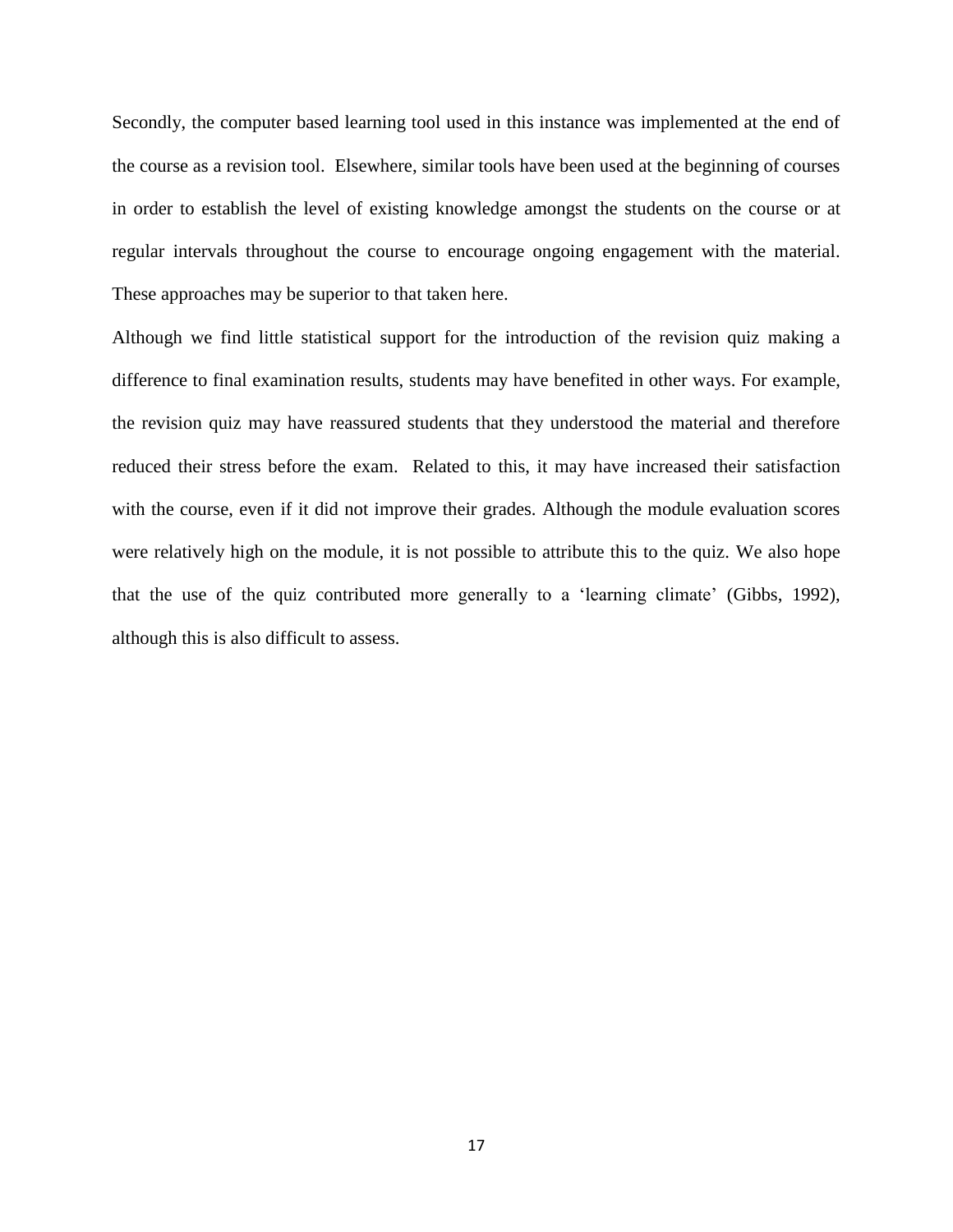Secondly, the computer based learning tool used in this instance was implemented at the end of the course as a revision tool. Elsewhere, similar tools have been used at the beginning of courses in order to establish the level of existing knowledge amongst the students on the course or at regular intervals throughout the course to encourage ongoing engagement with the material. These approaches may be superior to that taken here.

Although we find little statistical support for the introduction of the revision quiz making a difference to final examination results, students may have benefited in other ways. For example, the revision quiz may have reassured students that they understood the material and therefore reduced their stress before the exam. Related to this, it may have increased their satisfaction with the course, even if it did not improve their grades. Although the module evaluation scores were relatively high on the module, it is not possible to attribute this to the quiz. We also hope that the use of the quiz contributed more generally to a 'learning climate' (Gibbs, 1992), although this is also difficult to assess.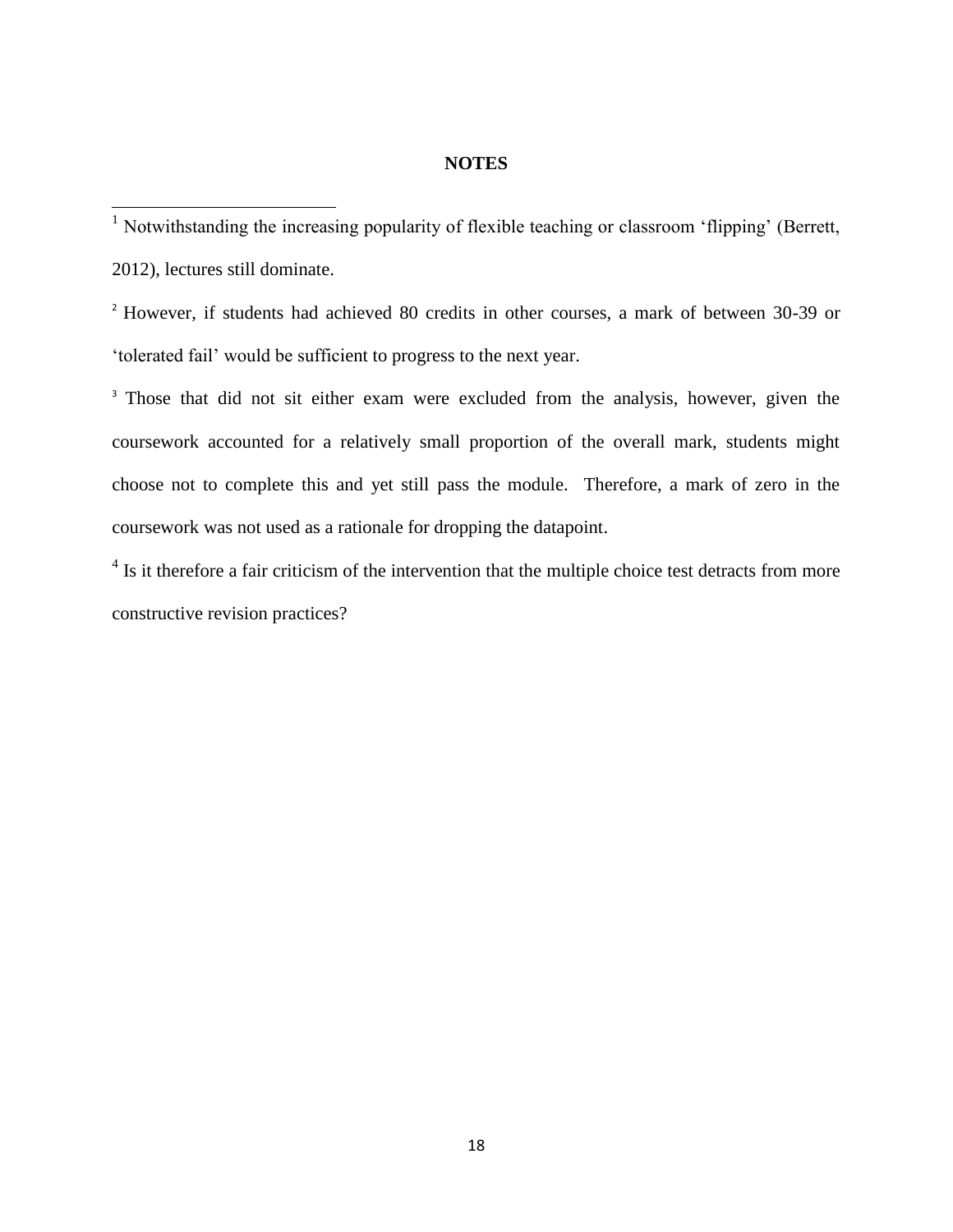#### **NOTES**

<sup>1</sup> Notwithstanding the increasing popularity of flexible teaching or classroom 'flipping' (Berrett, 2012), lectures still dominate.

 $\overline{\phantom{a}}$ 

<sup>2</sup> However, if students had achieved 80 credits in other courses, a mark of between 30-39 or 'tolerated fail' would be sufficient to progress to the next year.

<sup>3</sup> Those that did not sit either exam were excluded from the analysis, however, given the coursework accounted for a relatively small proportion of the overall mark, students might choose not to complete this and yet still pass the module. Therefore, a mark of zero in the coursework was not used as a rationale for dropping the datapoint.

<sup>4</sup> Is it therefore a fair criticism of the intervention that the multiple choice test detracts from more constructive revision practices?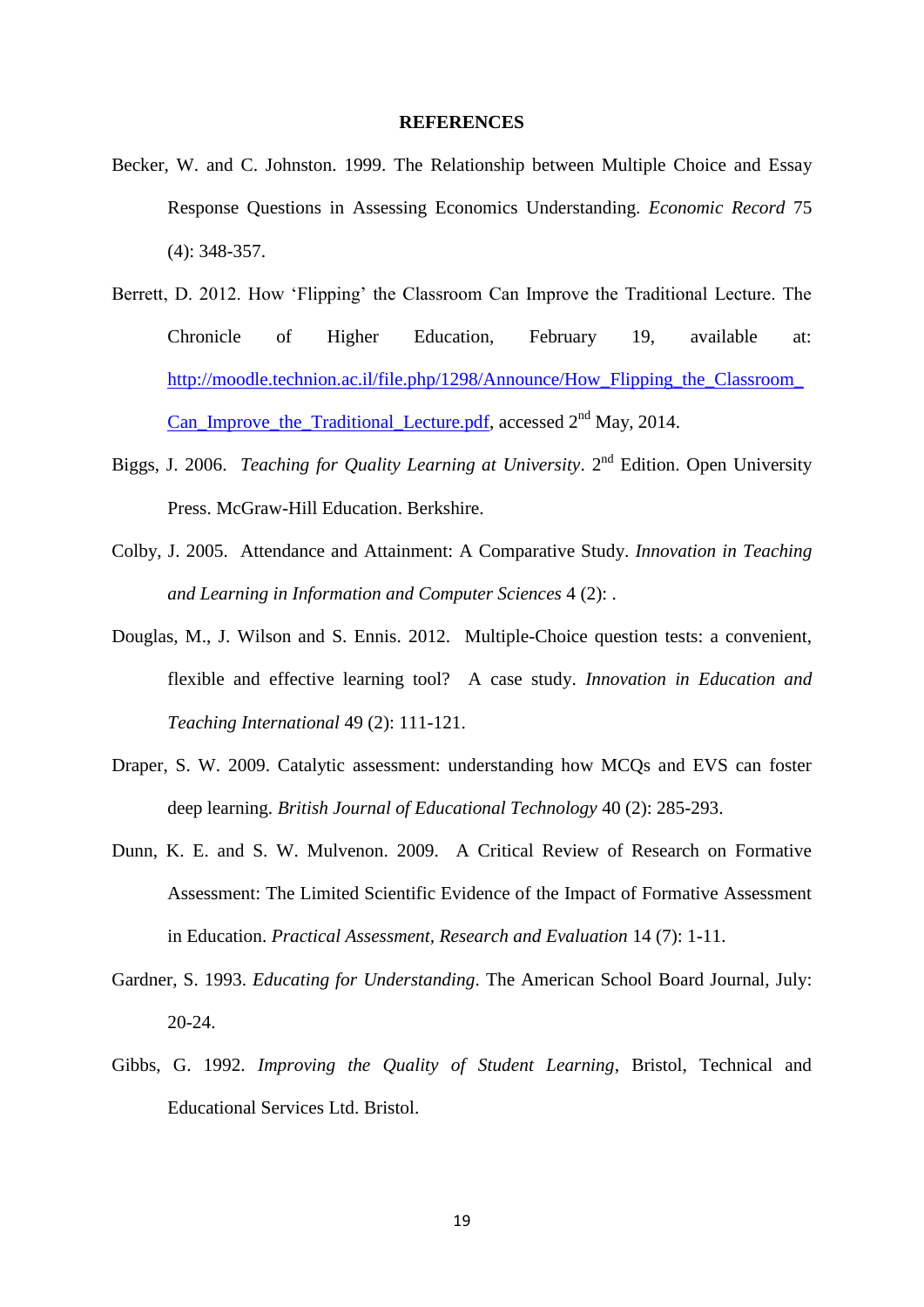#### **REFERENCES**

- Becker, W. and C. Johnston. 1999. The Relationship between Multiple Choice and Essay Response Questions in Assessing Economics Understanding. *Economic Record* 75 (4): 348-357.
- Berrett, D. 2012. How 'Flipping' the Classroom Can Improve the Traditional Lecture. The Chronicle of Higher Education, February 19, available at: http://moodle.technion.ac.il/file.php/1298/Announce/How\_Flipping the Classroom Can Improve the Traditional Lecture.pdf, accessed  $2<sup>nd</sup>$  May, 2014.
- Biggs, J. 2006. *Teaching for Quality Learning at University*. 2<sup>nd</sup> Edition. Open University Press. McGraw-Hill Education. Berkshire.
- Colby, J. 2005. Attendance and Attainment: A Comparative Study. *Innovation in Teaching and Learning in Information and Computer Sciences* 4 (2): .
- Douglas, M., J. Wilson and S. Ennis. 2012. Multiple-Choice question tests: a convenient, flexible and effective learning tool? A case study. *Innovation in Education and Teaching International* 49 (2): 111-121.
- Draper, S. W. 2009. Catalytic assessment: understanding how MCQs and EVS can foster deep learning. *British Journal of Educational Technology* 40 (2): 285-293.
- Dunn, K. E. and S. W. Mulvenon. 2009. A Critical Review of Research on Formative Assessment: The Limited Scientific Evidence of the Impact of Formative Assessment in Education. *Practical Assessment, Research and Evaluation* 14 (7): 1-11.
- Gardner, S. 1993. *Educating for Understanding*. The American School Board Journal, July: 20-24.
- Gibbs, G. 1992. *Improving the Quality of Student Learning*, Bristol, Technical and Educational Services Ltd. Bristol.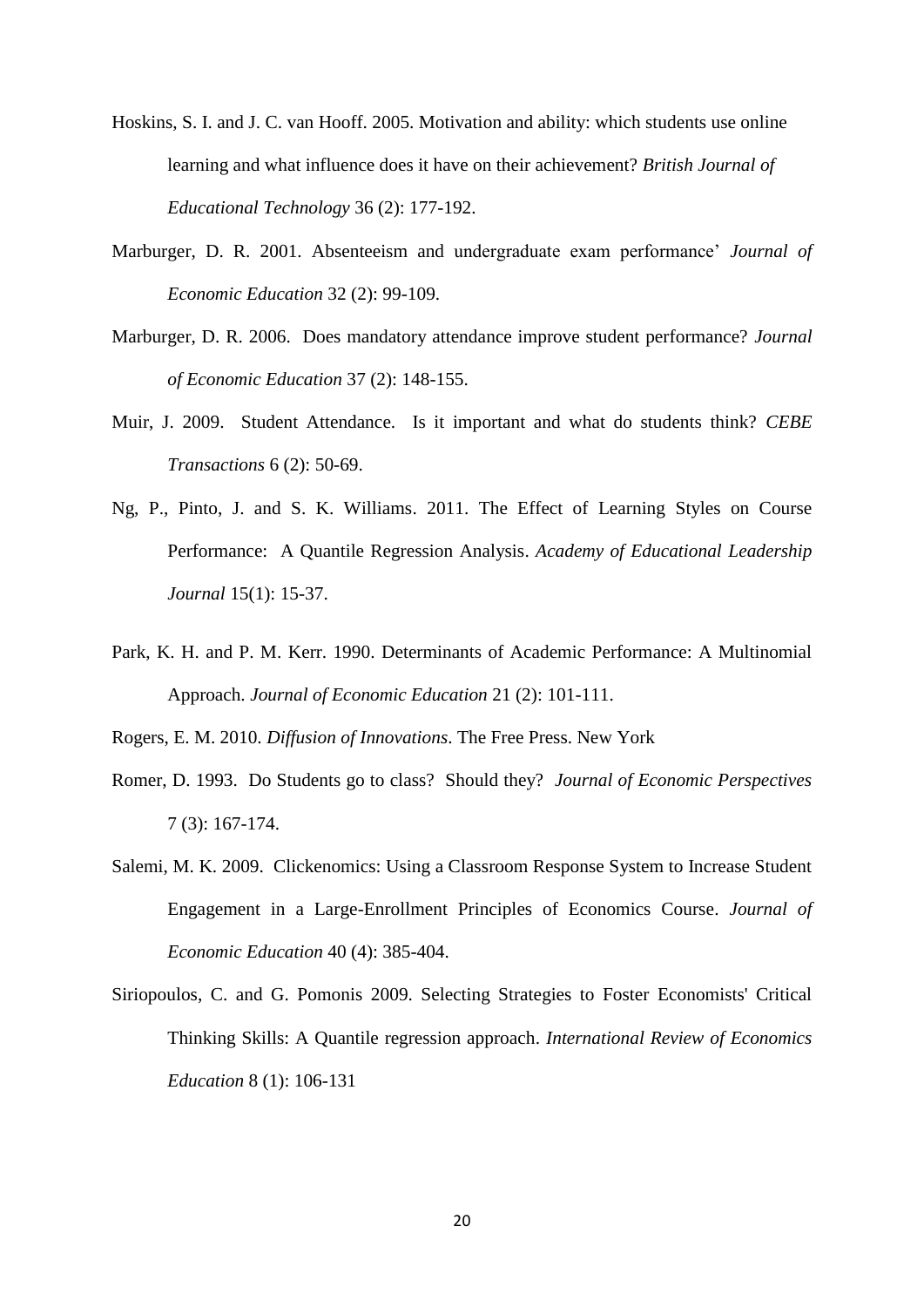- Hoskins, S. I. and J. C. van Hooff. 2005. Motivation and ability: which students use online learning and what influence does it have on their achievement? *British Journal of Educational Technology* 36 (2): 177-192.
- Marburger, D. R. 2001. Absenteeism and undergraduate exam performance' *Journal of Economic Education* 32 (2): 99-109.
- Marburger, D. R. 2006. Does mandatory attendance improve student performance? *Journal of Economic Education* 37 (2): 148-155.
- Muir, J. 2009. Student Attendance. Is it important and what do students think? *CEBE Transactions* 6 (2): 50-69.
- Ng, P., Pinto, J. and S. K. Williams. 2011. The Effect of Learning Styles on Course Performance: A Quantile Regression Analysis. *Academy of Educational Leadership Journal* 15(1): 15-37.
- Park, K. H. and P. M. Kerr. 1990. Determinants of Academic Performance: A Multinomial Approach. *Journal of Economic Education* 21 (2): 101-111.

Rogers, E. M. 2010. *Diffusion of Innovations*. The Free Press. New York

- Romer, D. 1993. Do Students go to class? Should they? *Journal of Economic Perspectives* 7 (3): 167-174.
- Salemi, M. K. 2009. Clickenomics: Using a Classroom Response System to Increase Student Engagement in a Large-Enrollment Principles of Economics Course. *Journal of Economic Education* 40 (4): 385-404.
- Siriopoulos, C. and G. Pomonis 2009. Selecting Strategies to Foster Economists' Critical Thinking Skills: A Quantile regression approach. *International Review of Economics Education* 8 (1): 106-131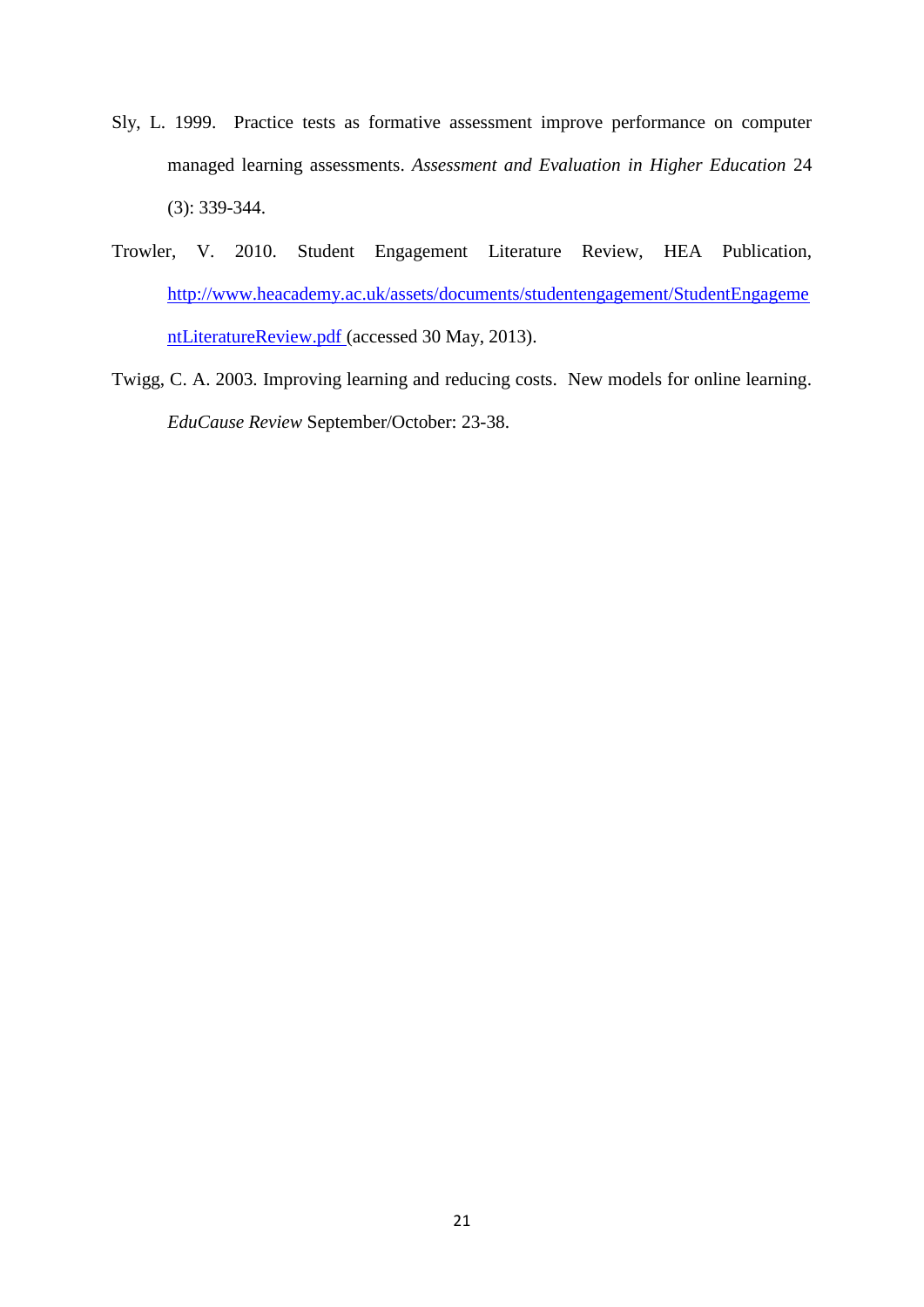- Sly, L. 1999. Practice tests as formative assessment improve performance on computer managed learning assessments. *Assessment and Evaluation in Higher Education* 24 (3): 339-344.
- Trowler, V. 2010. Student Engagement Literature Review, HEA Publication, [http://www.heacademy.ac.uk/assets/documents/studentengagement/StudentEngageme](http://www.heacademy.ac.uk/assets/documents/studentengagement/StudentEngagementLiteratureReview.pdf) [ntLiteratureReview.pdf](http://www.heacademy.ac.uk/assets/documents/studentengagement/StudentEngagementLiteratureReview.pdf) (accessed 30 May, 2013).
- Twigg, C. A. 2003. Improving learning and reducing costs. New models for online learning. *EduCause Review* September/October: 23-38.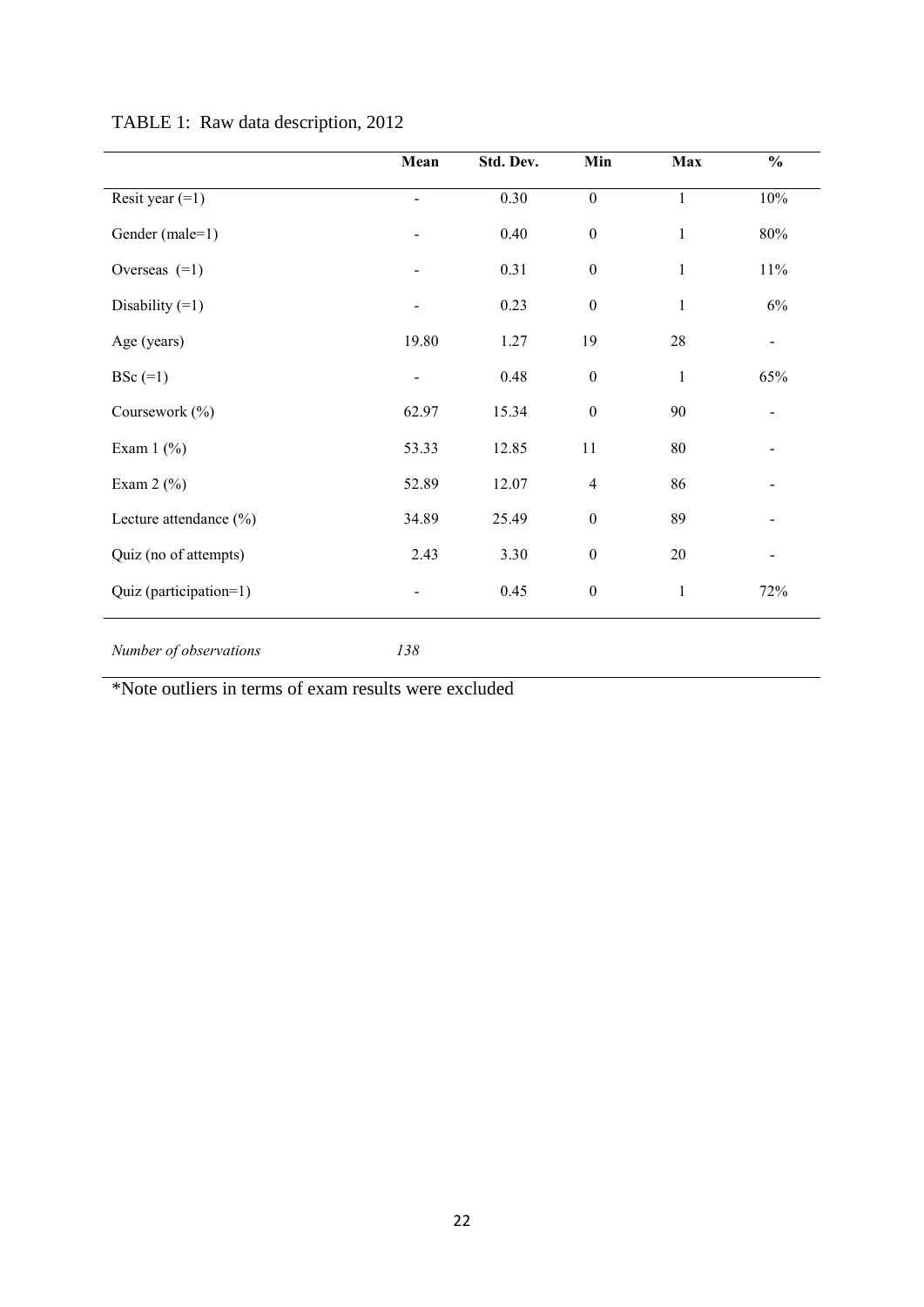|                            | Mean                         | Std. Dev. | Min              | Max          | $\frac{0}{0}$  |
|----------------------------|------------------------------|-----------|------------------|--------------|----------------|
| Resit year $(=1)$          |                              | 0.30      | $\boldsymbol{0}$ | $\mathbf{1}$ | $10\%$         |
| Gender (male=1)            |                              | 0.40      | $\boldsymbol{0}$ | $\mathbf{1}$ | $80\%$         |
| Overseas $(=1)$            |                              | 0.31      | $\boldsymbol{0}$ | $\mathbf{1}$ | 11%            |
| Disability $(=1)$          |                              | 0.23      | $\boldsymbol{0}$ | $\mathbf{1}$ | 6%             |
| Age (years)                | 19.80                        | 1.27      | 19               | $28\,$       | $\blacksquare$ |
| $BSc$ (=1)                 | $\qquad \qquad \blacksquare$ | 0.48      | $\boldsymbol{0}$ | $\mathbf{1}$ | 65%            |
| Coursework (%)             | 62.97                        | 15.34     | $\boldsymbol{0}$ | 90           |                |
| Exam $1$ (%)               | 53.33                        | 12.85     | 11               | $80\,$       |                |
| Exam $2$ (%)               | 52.89                        | 12.07     | $\overline{4}$   | 86           |                |
| Lecture attendance $(\% )$ | 34.89                        | 25.49     | $\boldsymbol{0}$ | 89           |                |
| Quiz (no of attempts)      | 2.43                         | 3.30      | $\boldsymbol{0}$ | $20\,$       |                |
| Quiz (participation=1)     |                              | 0.45      | $\boldsymbol{0}$ | $\mathbf{1}$ | 72%            |
| Number of observations     | 138                          |           |                  |              |                |

# TABLE 1: Raw data description, 2012

\*Note outliers in terms of exam results were excluded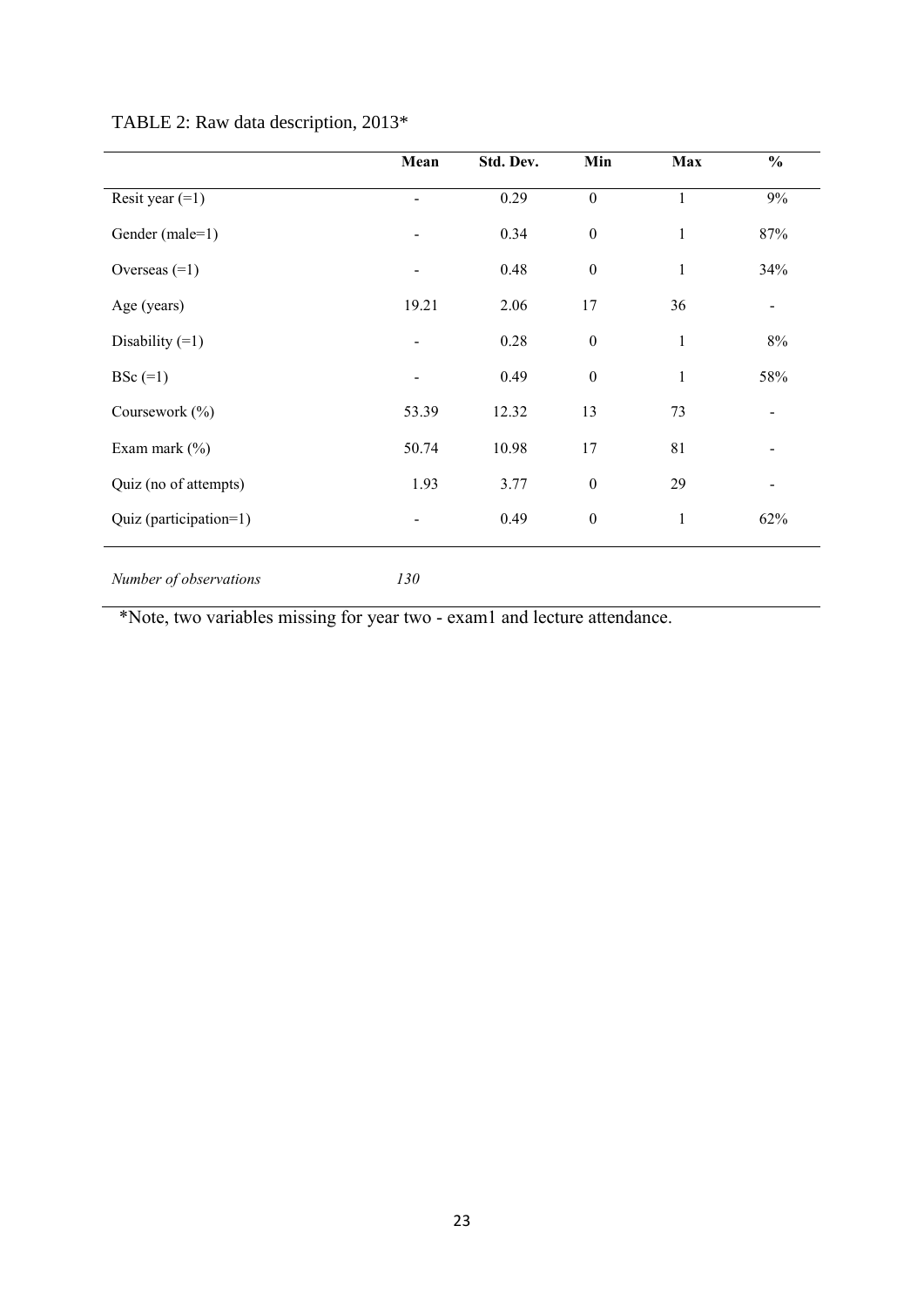|                        | Mean                     | Std. Dev. | Min              | Max          | $\frac{0}{0}$            |
|------------------------|--------------------------|-----------|------------------|--------------|--------------------------|
| Resit year $(=1)$      | $\overline{\phantom{0}}$ | 0.29      | $\overline{0}$   | $\mathbf{1}$ | 9%                       |
| Gender (male=1)        | $\blacksquare$           | 0.34      | $\boldsymbol{0}$ | $\mathbf{1}$ | 87%                      |
| Overseas $(=1)$        | $\overline{\phantom{a}}$ | 0.48      | $\boldsymbol{0}$ | $\mathbf{1}$ | 34%                      |
| Age (years)            | 19.21                    | 2.06      | 17               | 36           | $\blacksquare$           |
| Disability $(=1)$      | $\overline{\phantom{a}}$ | 0.28      | $\boldsymbol{0}$ | $\mathbf{1}$ | 8%                       |
| $BSc$ (=1)             | $\blacksquare$           | 0.49      | $\boldsymbol{0}$ | $\mathbf{1}$ | 58%                      |
| Coursework (%)         | 53.39                    | 12.32     | 13               | 73           | $\blacksquare$           |
| Exam mark $(\% )$      | 50.74                    | 10.98     | 17               | 81           | $\overline{\phantom{a}}$ |
| Quiz (no of attempts)  | 1.93                     | 3.77      | $\boldsymbol{0}$ | 29           | $\overline{\phantom{a}}$ |
| Quiz (participation=1) | $\blacksquare$           | 0.49      | $\boldsymbol{0}$ | $\mathbf{1}$ | 62%                      |
|                        |                          |           |                  |              |                          |

# TABLE 2: Raw data description, 2013\*

*Number of observations 130*

\*Note, two variables missing for year two - exam1 and lecture attendance.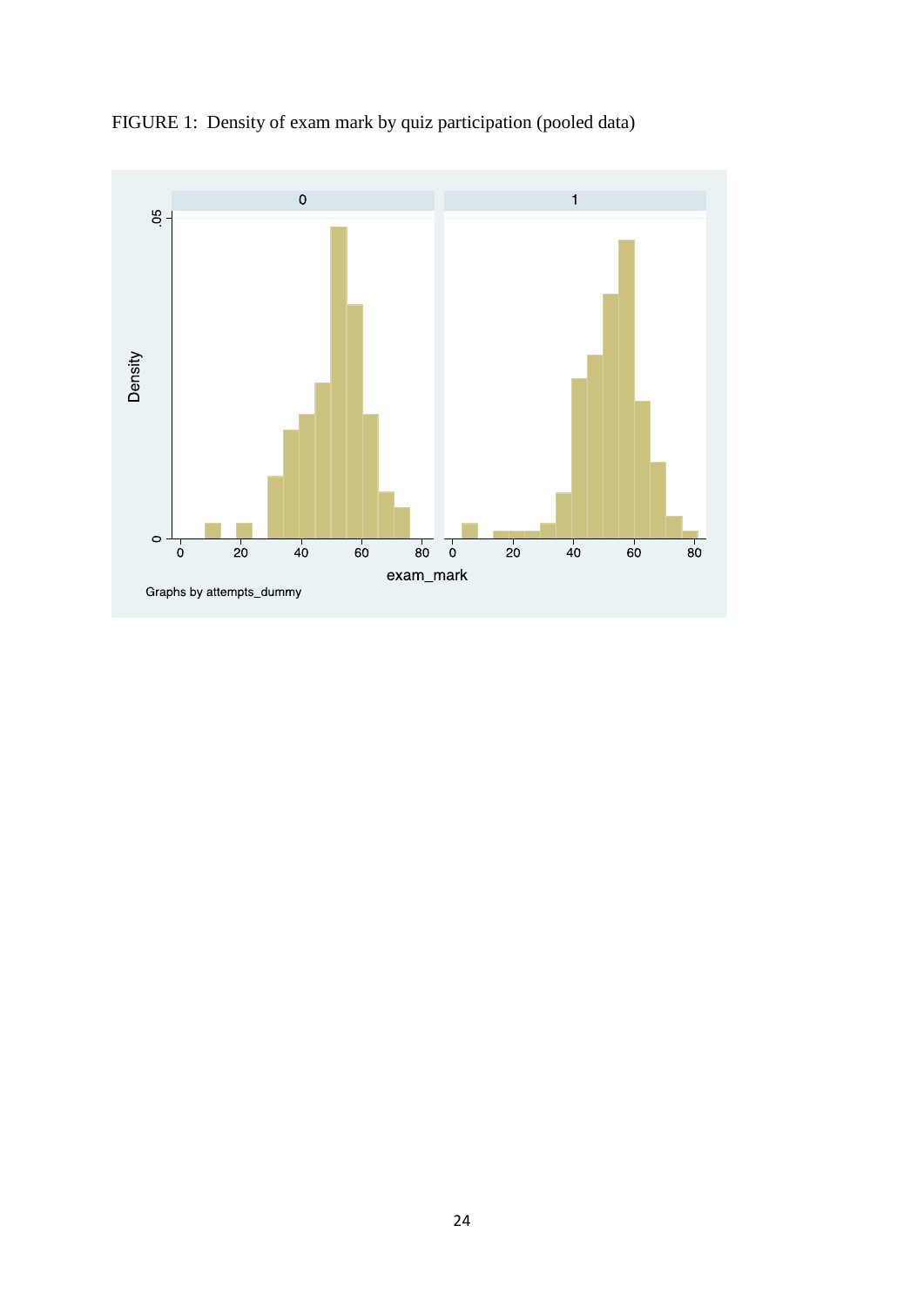

FIGURE 1: Density of exam mark by quiz participation (pooled data)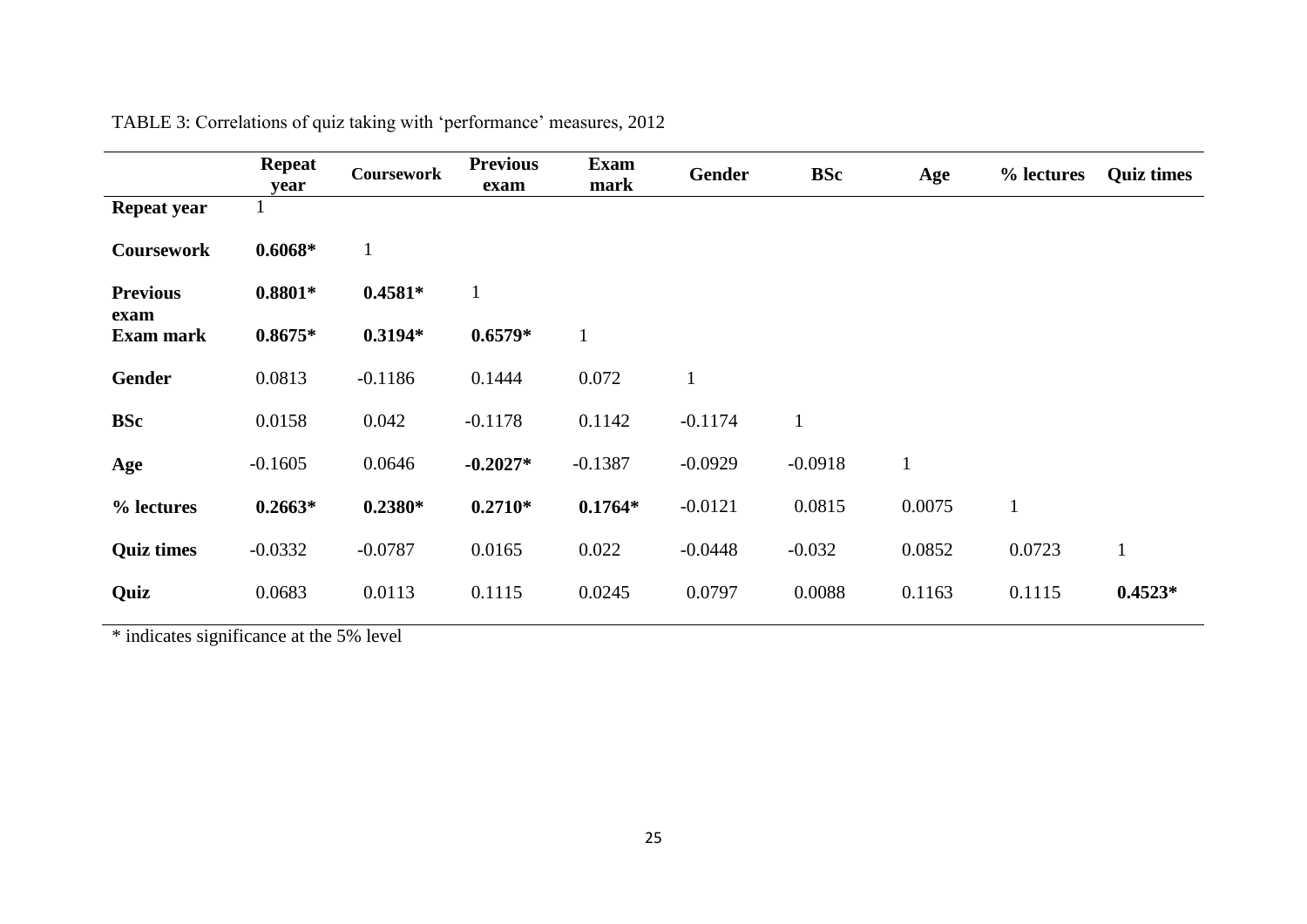|                          | <b>Repeat</b><br>year | <b>Coursework</b> | <b>Previous</b><br>exam | <b>Exam</b><br>mark | Gender    | <b>BSc</b>   | Age    | % lectures   | <b>Quiz times</b> |
|--------------------------|-----------------------|-------------------|-------------------------|---------------------|-----------|--------------|--------|--------------|-------------------|
| <b>Repeat year</b>       |                       |                   |                         |                     |           |              |        |              |                   |
| <b>Coursework</b>        | $0.6068*$             | $\mathbf{1}$      |                         |                     |           |              |        |              |                   |
| <b>Previous</b>          | $0.8801*$             | $0.4581*$         | $\mathbf{1}$            |                     |           |              |        |              |                   |
| exam<br><b>Exam mark</b> | $0.8675*$             | $0.3194*$         | $0.6579*$               | $\mathbf{1}$        |           |              |        |              |                   |
| Gender                   | 0.0813                | $-0.1186$         | 0.1444                  | 0.072               |           |              |        |              |                   |
| <b>BSc</b>               | 0.0158                | 0.042             | $-0.1178$               | 0.1142              | $-0.1174$ | $\mathbf{1}$ |        |              |                   |
| Age                      | $-0.1605$             | 0.0646            | $-0.2027*$              | $-0.1387$           | $-0.0929$ | $-0.0918$    |        |              |                   |
| % lectures               | $0.2663*$             | $0.2380*$         | $0.2710*$               | $0.1764*$           | $-0.0121$ | 0.0815       | 0.0075 | $\mathbf{1}$ |                   |
| <b>Quiz times</b>        | $-0.0332$             | $-0.0787$         | 0.0165                  | 0.022               | $-0.0448$ | $-0.032$     | 0.0852 | 0.0723       | $\mathbf{1}$      |
| Quiz                     | 0.0683                | 0.0113            | 0.1115                  | 0.0245              | 0.0797    | 0.0088       | 0.1163 | 0.1115       | $0.4523*$         |

TABLE 3: Correlations of quiz taking with 'performance' measures, 2012

\* indicates significance at the 5% level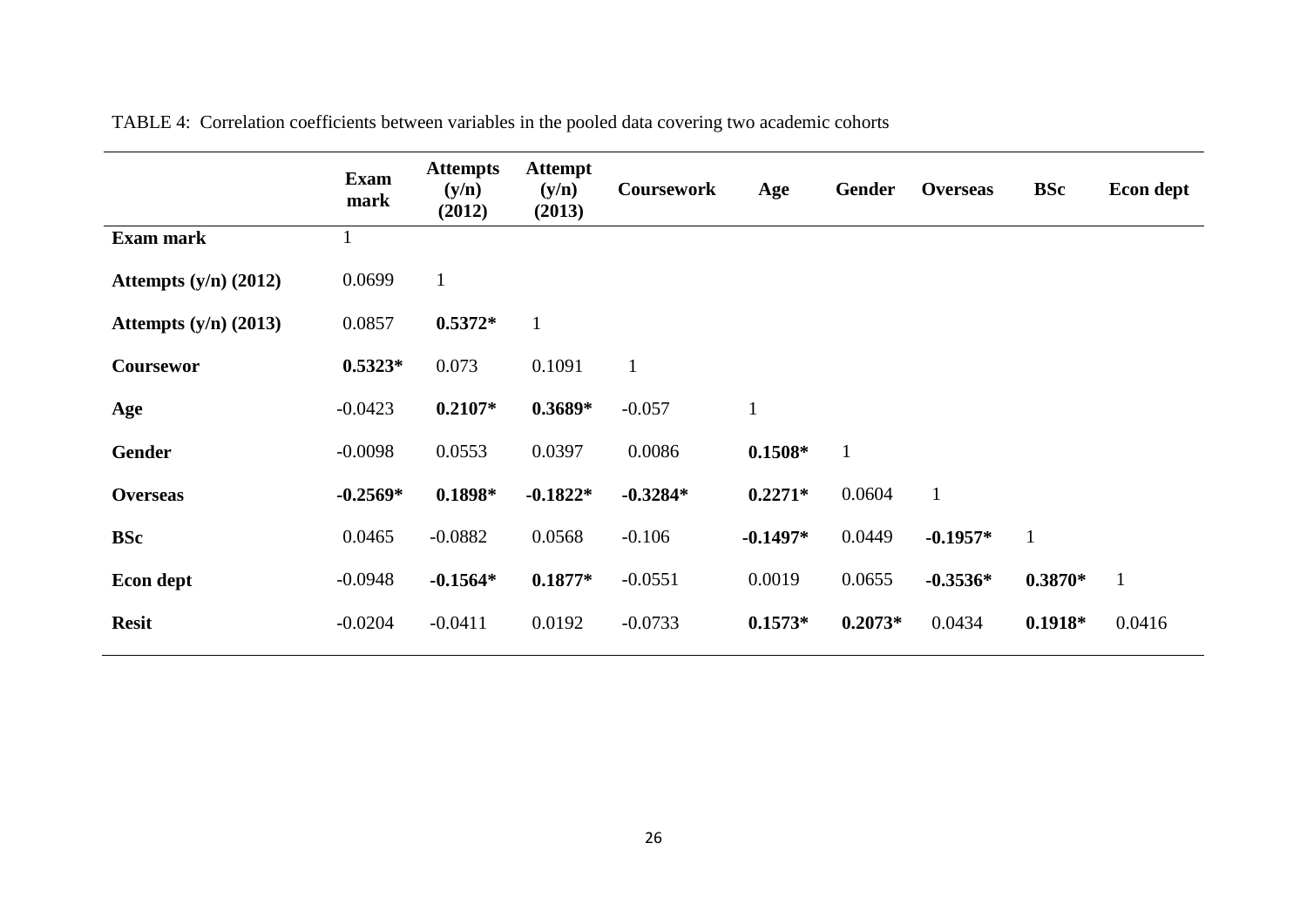|                         | <b>Exam</b><br>mark | <b>Attempts</b><br>(y/n)<br>(2012) | <b>Attempt</b><br>(y/n)<br>(2013) | <b>Coursework</b> | Age          | <b>Gender</b> | <b>Overseas</b> | <b>BSc</b>   | Econ dept    |
|-------------------------|---------------------|------------------------------------|-----------------------------------|-------------------|--------------|---------------|-----------------|--------------|--------------|
| <b>Exam mark</b>        |                     |                                    |                                   |                   |              |               |                 |              |              |
| Attempts $(y/n)$ (2012) | 0.0699              | $\mathbf{1}$                       |                                   |                   |              |               |                 |              |              |
| Attempts $(y/n)$ (2013) | 0.0857              | $0.5372*$                          | $\mathbf{1}$                      |                   |              |               |                 |              |              |
| Coursewor               | $0.5323*$           | 0.073                              | 0.1091                            | $\mathbf{1}$      |              |               |                 |              |              |
| Age                     | $-0.0423$           | $0.2107*$                          | $0.3689*$                         | $-0.057$          | $\mathbf{1}$ |               |                 |              |              |
| <b>Gender</b>           | $-0.0098$           | 0.0553                             | 0.0397                            | 0.0086            | $0.1508*$    | $\mathbf{1}$  |                 |              |              |
| <b>Overseas</b>         | $-0.2569*$          | $0.1898*$                          | $-0.1822*$                        | $-0.3284*$        | $0.2271*$    | 0.0604        | $\mathbf{1}$    |              |              |
| <b>BSc</b>              | 0.0465              | $-0.0882$                          | 0.0568                            | $-0.106$          | $-0.1497*$   | 0.0449        | $-0.1957*$      | $\mathbf{1}$ |              |
| Econ dept               | $-0.0948$           | $-0.1564*$                         | $0.1877*$                         | $-0.0551$         | 0.0019       | 0.0655        | $-0.3536*$      | $0.3870*$    | $\mathbf{1}$ |
| <b>Resit</b>            | $-0.0204$           | $-0.0411$                          | 0.0192                            | $-0.0733$         | $0.1573*$    | $0.2073*$     | 0.0434          | $0.1918*$    | 0.0416       |

TABLE 4: Correlation coefficients between variables in the pooled data covering two academic cohorts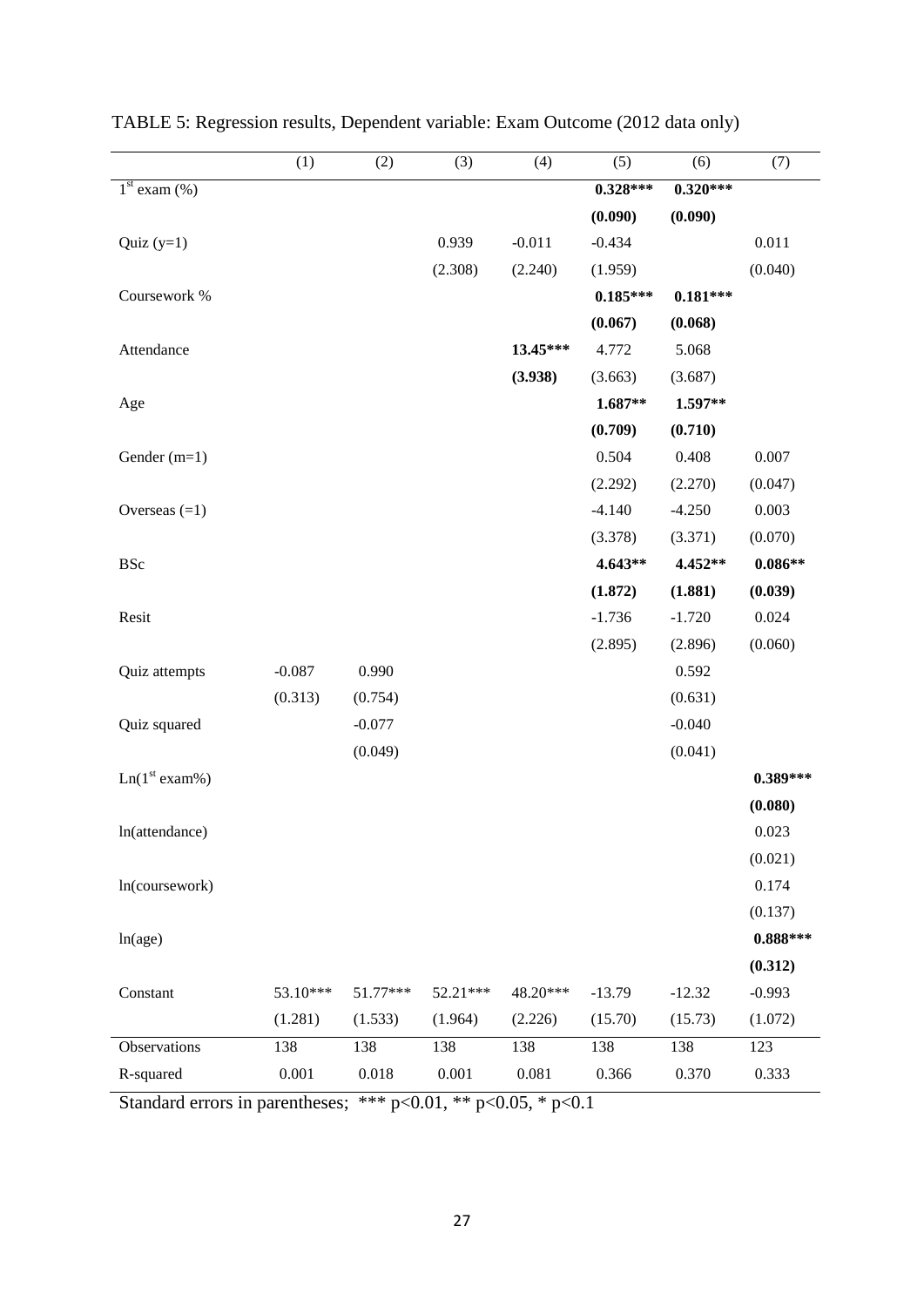|                           | (1)      | (2)      | (3)      | (4)      | (5)        | (6)        | (7)        |
|---------------------------|----------|----------|----------|----------|------------|------------|------------|
| $1st$ exam $(\%)$         |          |          |          |          | $0.328***$ | $0.320***$ |            |
|                           |          |          |          |          | (0.090)    | (0.090)    |            |
| Quiz $(y=1)$              |          |          | 0.939    | $-0.011$ | $-0.434$   |            | 0.011      |
|                           |          |          | (2.308)  | (2.240)  | (1.959)    |            | (0.040)    |
| Coursework %              |          |          |          |          | $0.185***$ | $0.181***$ |            |
|                           |          |          |          |          | (0.067)    | (0.068)    |            |
| Attendance                |          |          |          | 13.45*** | 4.772      | 5.068      |            |
|                           |          |          |          | (3.938)  | (3.663)    | (3.687)    |            |
| Age                       |          |          |          |          | 1.687**    | 1.597**    |            |
|                           |          |          |          |          | (0.709)    | (0.710)    |            |
| Gender (m=1)              |          |          |          |          | 0.504      | 0.408      | 0.007      |
|                           |          |          |          |          | (2.292)    | (2.270)    | (0.047)    |
| Overseas $(=1)$           |          |          |          |          | $-4.140$   | $-4.250$   | 0.003      |
|                           |          |          |          |          | (3.378)    | (3.371)    | (0.070)    |
| <b>BSc</b>                |          |          |          |          | 4.643**    | 4.452**    | $0.086**$  |
|                           |          |          |          |          | (1.872)    | (1.881)    | (0.039)    |
| Resit                     |          |          |          |          | $-1.736$   | $-1.720$   | 0.024      |
|                           |          |          |          |          | (2.895)    | (2.896)    | (0.060)    |
| Quiz attempts             | $-0.087$ | 0.990    |          |          |            | 0.592      |            |
|                           | (0.313)  | (0.754)  |          |          |            | (0.631)    |            |
| Quiz squared              |          | $-0.077$ |          |          |            | $-0.040$   |            |
|                           |          | (0.049)  |          |          |            | (0.041)    |            |
| Ln(1 <sup>st</sup> exam%) |          |          |          |          |            |            | $0.389***$ |
|                           |          |          |          |          |            |            | (0.080)    |
| ln(attendance)            |          |          |          |          |            |            | 0.023      |
|                           |          |          |          |          |            |            | (0.021)    |
| ln(coursework)            |          |          |          |          |            |            | 0.174      |
|                           |          |          |          |          |            |            | (0.137)    |
| ln(age)                   |          |          |          |          |            |            | $0.888***$ |
|                           |          |          |          |          |            |            | (0.312)    |
| Constant                  | 53.10*** | 51.77*** | 52.21*** | 48.20*** | $-13.79$   | $-12.32$   | $-0.993$   |
|                           | (1.281)  | (1.533)  | (1.964)  | (2.226)  | (15.70)    | (15.73)    | (1.072)    |
| Observations              | 138      | 138      | 138      | 138      | 138        | 138        | 123        |
| R-squared                 | 0.001    | 0.018    | 0.001    | 0.081    | 0.366      | 0.370      | 0.333      |

TABLE 5: Regression results, Dependent variable: Exam Outcome (2012 data only)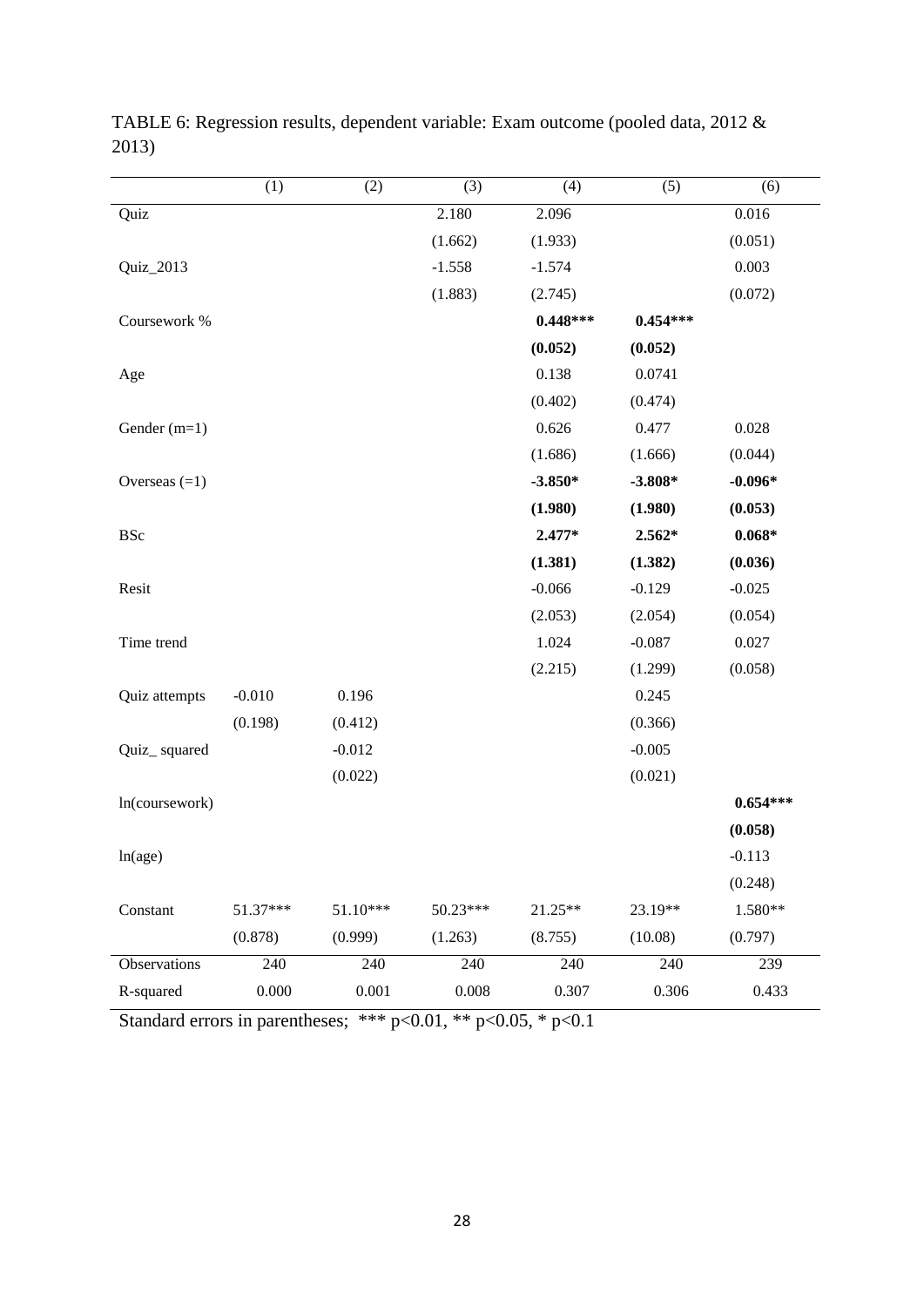|                 | (1)      | (2)        | (3)       | (4)        | (5)        | (6)        |
|-----------------|----------|------------|-----------|------------|------------|------------|
| Quiz            |          |            | 2.180     | 2.096      |            | 0.016      |
|                 |          |            | (1.662)   | (1.933)    |            | (0.051)    |
| Quiz_2013       |          |            | $-1.558$  | $-1.574$   |            | 0.003      |
|                 |          |            | (1.883)   | (2.745)    |            | (0.072)    |
| Coursework %    |          |            |           | $0.448***$ | $0.454***$ |            |
|                 |          |            |           | (0.052)    | (0.052)    |            |
| Age             |          |            |           | 0.138      | 0.0741     |            |
|                 |          |            |           | (0.402)    | (0.474)    |            |
| Gender (m=1)    |          |            |           | 0.626      | 0.477      | 0.028      |
|                 |          |            |           | (1.686)    | (1.666)    | (0.044)    |
| Overseas $(=1)$ |          |            |           | $-3.850*$  | $-3.808*$  | $-0.096*$  |
|                 |          |            |           | (1.980)    | (1.980)    | (0.053)    |
| <b>BSc</b>      |          |            |           | 2.477*     | 2.562*     | $0.068*$   |
|                 |          |            |           | (1.381)    | (1.382)    | (0.036)    |
| Resit           |          |            |           | $-0.066$   | $-0.129$   | $-0.025$   |
|                 |          |            |           | (2.053)    | (2.054)    | (0.054)    |
| Time trend      |          |            |           | 1.024      | $-0.087$   | 0.027      |
|                 |          |            |           | (2.215)    | (1.299)    | (0.058)    |
| Quiz attempts   | $-0.010$ | 0.196      |           |            | 0.245      |            |
|                 | (0.198)  | (0.412)    |           |            | (0.366)    |            |
| Quiz_squared    |          | $-0.012$   |           |            | $-0.005$   |            |
|                 |          | (0.022)    |           |            | (0.021)    |            |
| ln(coursework)  |          |            |           |            |            | $0.654***$ |
|                 |          |            |           |            |            | (0.058)    |
| ln(age)         |          |            |           |            |            | $-0.113$   |
|                 |          |            |           |            |            | (0.248)    |
| Constant        | 51.37*** | $51.10***$ | 50.23***  | 21.25**    | 23.19**    | 1.580**    |
|                 | (0.878)  | (0.999)    | (1.263)   | (8.755)    | (10.08)    | (0.797)    |
| Observations    | 240      | 240        | 240       | 240        | 240        | 239        |
| R-squared       | 0.000    | 0.001      | $0.008\,$ | 0.307      | 0.306      | 0.433      |

TABLE 6: Regression results, dependent variable: Exam outcome (pooled data, 2012 & 2013)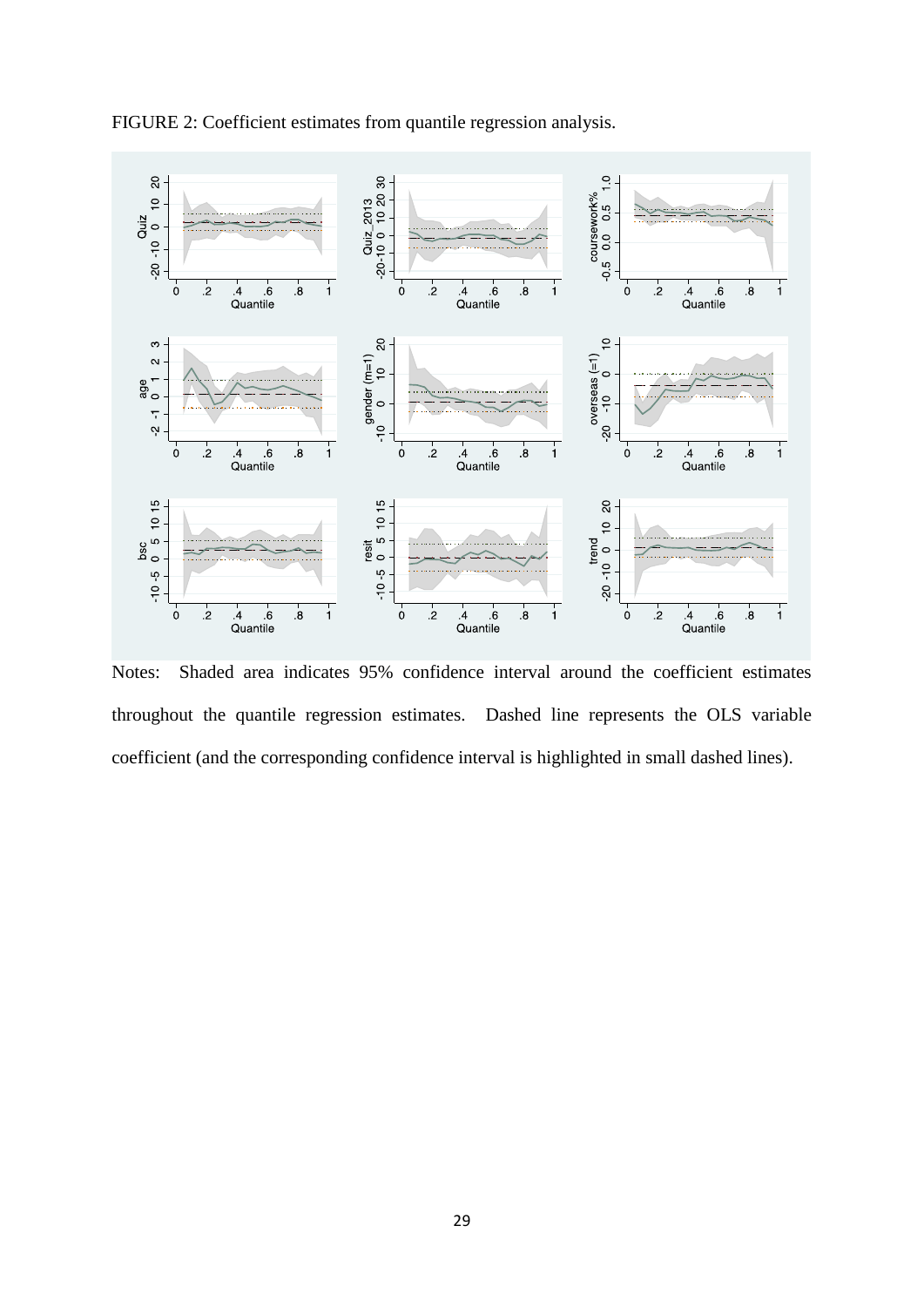

FIGURE 2: Coefficient estimates from quantile regression analysis.

Notes: Shaded area indicates 95% confidence interval around the coefficient estimates throughout the quantile regression estimates. Dashed line represents the OLS variable coefficient (and the corresponding confidence interval is highlighted in small dashed lines).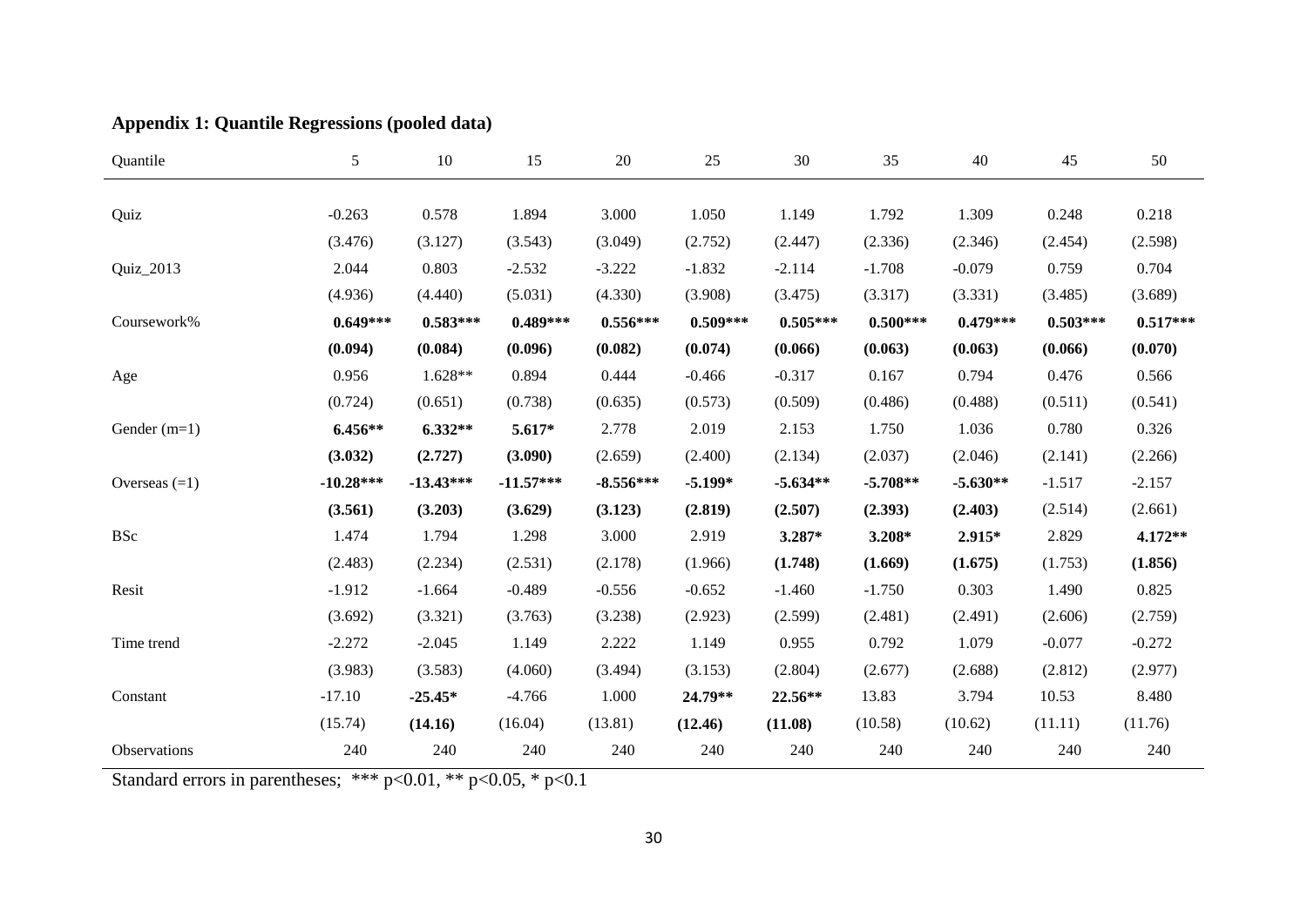| <b>Appendix 1: Quantile Regressions (pooled data)</b> |  |  |  |  |
|-------------------------------------------------------|--|--|--|--|
|-------------------------------------------------------|--|--|--|--|

| Quantile        | 5           | 10          | 15          | 20          | 25         | 30         | 35         | 40         | 45         | 50         |
|-----------------|-------------|-------------|-------------|-------------|------------|------------|------------|------------|------------|------------|
|                 |             |             |             |             |            |            |            |            |            |            |
| Quiz            | $-0.263$    | 0.578       | 1.894       | 3.000       | 1.050      | 1.149      | 1.792      | 1.309      | 0.248      | 0.218      |
|                 | (3.476)     | (3.127)     | (3.543)     | (3.049)     | (2.752)    | (2.447)    | (2.336)    | (2.346)    | (2.454)    | (2.598)    |
| Quiz_2013       | 2.044       | 0.803       | $-2.532$    | $-3.222$    | $-1.832$   | $-2.114$   | $-1.708$   | $-0.079$   | 0.759      | 0.704      |
|                 | (4.936)     | (4.440)     | (5.031)     | (4.330)     | (3.908)    | (3.475)    | (3.317)    | (3.331)    | (3.485)    | (3.689)    |
| Coursework%     | $0.649***$  | $0.583***$  | $0.489***$  | $0.556***$  | $0.509***$ | $0.505***$ | $0.500***$ | $0.479***$ | $0.503***$ | $0.517***$ |
|                 | (0.094)     | (0.084)     | (0.096)     | (0.082)     | (0.074)    | (0.066)    | (0.063)    | (0.063)    | (0.066)    | (0.070)    |
| Age             | 0.956       | $1.628**$   | 0.894       | 0.444       | $-0.466$   | $-0.317$   | 0.167      | 0.794      | 0.476      | 0.566      |
|                 | (0.724)     | (0.651)     | (0.738)     | (0.635)     | (0.573)    | (0.509)    | (0.486)    | (0.488)    | (0.511)    | (0.541)    |
| Gender $(m=1)$  | $6.456**$   | $6.332**$   | 5.617*      | 2.778       | 2.019      | 2.153      | 1.750      | 1.036      | 0.780      | 0.326      |
|                 | (3.032)     | (2.727)     | (3.090)     | (2.659)     | (2.400)    | (2.134)    | (2.037)    | (2.046)    | (2.141)    | (2.266)    |
| Overseas $(=1)$ | $-10.28***$ | $-13.43***$ | $-11.57***$ | $-8.556***$ | $-5.199*$  | $-5.634**$ | $-5.708**$ | $-5.630**$ | $-1.517$   | $-2.157$   |
|                 | (3.561)     | (3.203)     | (3.629)     | (3.123)     | (2.819)    | (2.507)    | (2.393)    | (2.403)    | (2.514)    | (2.661)    |
| <b>BSc</b>      | 1.474       | 1.794       | 1.298       | 3.000       | 2.919      | 3.287*     | 3.208*     | 2.915*     | 2.829      | 4.172**    |
|                 | (2.483)     | (2.234)     | (2.531)     | (2.178)     | (1.966)    | (1.748)    | (1.669)    | (1.675)    | (1.753)    | (1.856)    |
| Resit           | $-1.912$    | $-1.664$    | $-0.489$    | $-0.556$    | $-0.652$   | $-1.460$   | $-1.750$   | 0.303      | 1.490      | 0.825      |
|                 | (3.692)     | (3.321)     | (3.763)     | (3.238)     | (2.923)    | (2.599)    | (2.481)    | (2.491)    | (2.606)    | (2.759)    |
| Time trend      | $-2.272$    | $-2.045$    | 1.149       | 2.222       | 1.149      | 0.955      | 0.792      | 1.079      | $-0.077$   | $-0.272$   |
|                 | (3.983)     | (3.583)     | (4.060)     | (3.494)     | (3.153)    | (2.804)    | (2.677)    | (2.688)    | (2.812)    | (2.977)    |
| Constant        | $-17.10$    | $-25.45*$   | $-4.766$    | 1.000       | 24.79**    | $22.56**$  | 13.83      | 3.794      | 10.53      | 8.480      |
|                 | (15.74)     | (14.16)     | (16.04)     | (13.81)     | (12.46)    | (11.08)    | (10.58)    | (10.62)    | (11.11)    | (11.76)    |
| Observations    | 240         | 240         | 240         | 240         | 240        | 240        | 240        | 240        | 240        | 240        |